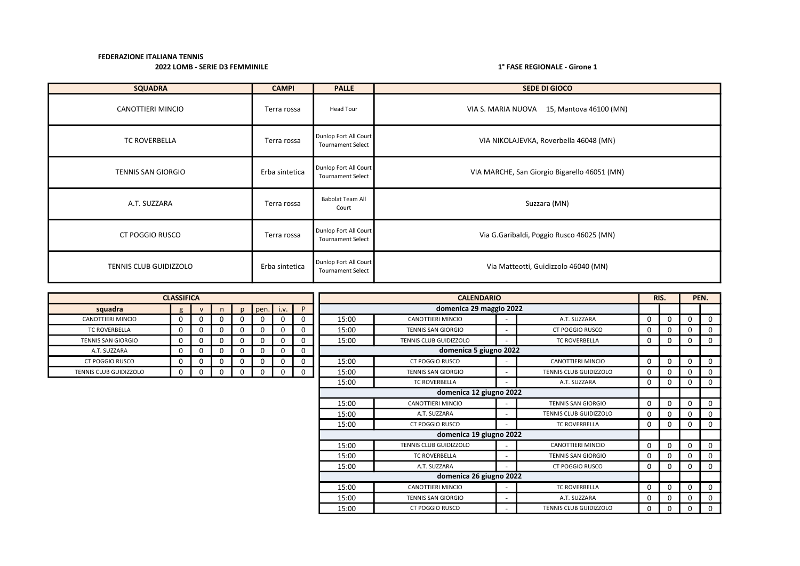| <b>SQUADRA</b>            | <b>CAMPI</b>   | <b>PALLE</b>                                      | <b>SEDE DI GIOCO</b>                         |
|---------------------------|----------------|---------------------------------------------------|----------------------------------------------|
| CANOTTIERI MINCIO         | Terra rossa    | Head Tour                                         | VIA S. MARIA NUOVA<br>15, Mantova 46100 (MN) |
| <b>TC ROVERBELLA</b>      | Terra rossa    | Dunlop Fort All Court<br><b>Tournament Select</b> | VIA NIKOLAJEVKA, Roverbella 46048 (MN)       |
| <b>TENNIS SAN GIORGIO</b> | Erba sintetica | Dunlop Fort All Court<br><b>Tournament Select</b> | VIA MARCHE, San Giorgio Bigarello 46051 (MN) |
| A.T. SUZZARA              | Terra rossa    | <b>Babolat Team All</b><br>Court                  | Suzzara (MN)                                 |
| <b>CT POGGIO RUSCO</b>    | Terra rossa    | Dunlop Fort All Court<br><b>Tournament Select</b> | Via G.Garibaldi, Poggio Rusco 46025 (MN)     |
| TENNIS CLUB GUIDIZZOLO    | Erba sintetica | Dunlop Fort All Court<br><b>Tournament Select</b> | Via Matteotti, Guidizzolo 46040 (MN)         |

|                               | <b>CLASSIFICA</b> |              |          |          |      |      |             |       | <b>CALENDARIO</b>                    |  |                               | RIS.        |              |          | PEN.        |
|-------------------------------|-------------------|--------------|----------|----------|------|------|-------------|-------|--------------------------------------|--|-------------------------------|-------------|--------------|----------|-------------|
| squadra                       | $\sigma$          | $\mathbf{v}$ |          | n.       | pen. | i.v. | P           |       | domenica 29 maggio 2022              |  |                               |             |              |          |             |
| <b>CANOTTIERI MINCIO</b>      | 0                 | 0            | $\Omega$ |          |      | 0    | 0           | 15:00 | <b>CANOTTIERI MINCIO</b>             |  | A.T. SUZZARA                  | $\Omega$    | <sup>n</sup> | 0        | $\Omega$    |
| <b>TC ROVERBELLA</b>          | 0                 | 0            | 0        |          |      | 0    | 0           | 15:00 | <b>TENNIS SAN GIORGIO</b>            |  | <b>CT POGGIO RUSCO</b>        | $\Omega$    |              | 0        | $\Omega$    |
| <b>TENNIS SAN GIORGIO</b>     | 0                 | 0            | 0        | ŋ        | 0    | 0    | 0           | 15:00 | <b>TENNIS CLUB GUIDIZZOLO</b>        |  | <b>TC ROVERBELLA</b>          | 0           | <sup>0</sup> | 0        | $\Omega$    |
| A.T. SUZZARA                  | 0                 | $\Omega$     | 0        |          |      | 0    | 0           |       | domenica 5 giugno 2022               |  |                               |             |              |          |             |
| <b>CT POGGIO RUSCO</b>        | 0                 | 0            | 0        |          | 0    | 0    | 0           | 15:00 | CT POGGIO RUSCO<br>CANOTTIERI MINCIO |  |                               |             |              | 0        | $\Omega$    |
| <b>TENNIS CLUB GUIDIZZOLO</b> | 0                 | 0            | 0        | $\Omega$ | 0    | 0    | $\mathbf 0$ | 15:00 | <b>TENNIS SAN GIORGIO</b>            |  | <b>TENNIS CLUB GUIDIZZOLO</b> | $\Omega$    |              | 0        | $\Omega$    |
|                               |                   |              |          |          |      |      |             | 15:00 | <b>TC ROVERBELLA</b>                 |  | A.T. SUZZARA                  | 0           | <sup>n</sup> | 0        | $\Omega$    |
|                               |                   |              |          |          |      |      |             |       | domenica 12 giugno 2022              |  |                               |             |              |          |             |
|                               |                   |              |          |          |      |      |             | 15:00 | <b>CANOTTIERI MINCIO</b>             |  | <b>TENNIS SAN GIORGIO</b>     | $\mathbf 0$ | <sup>0</sup> | $\Omega$ | $\Omega$    |
|                               |                   |              |          |          |      |      |             | 15:00 | A.T. SUZZARA                         |  | <b>TENNIS CLUB GUIDIZZOLO</b> | 0           | 0            | 0        | $\Omega$    |
|                               |                   |              |          |          |      |      |             | 15:00 | CT POGGIO RUSCO                      |  | <b>TC ROVERBELLA</b>          | 0           | 0            | 0        | $\Omega$    |
|                               |                   |              |          |          |      |      |             |       | domenica 19 giugno 2022              |  |                               |             |              |          |             |
|                               |                   |              |          |          |      |      |             | 15:00 | TENNIS CLUB GUIDIZZOLO               |  | CANOTTIERI MINCIO             | $\mathbf 0$ | $\Omega$     | $\Omega$ | $\Omega$    |
|                               |                   |              |          |          |      |      |             | 15:00 | <b>TC ROVERBELLA</b>                 |  | <b>TENNIS SAN GIORGIO</b>     | 0           | 0            | 0        | $\Omega$    |
|                               |                   |              |          |          |      |      |             | 15:00 | A.T. SUZZARA                         |  | <b>CT POGGIO RUSCO</b>        | 0           | 0            | $\Omega$ | $\Omega$    |
|                               |                   |              |          |          |      |      |             |       | domenica 26 giugno 2022              |  |                               |             |              |          |             |
|                               |                   |              |          |          |      |      |             | 15:00 | <b>CANOTTIERI MINCIO</b>             |  | <b>TC ROVERBELLA</b>          | 0           | $\Omega$     | $\Omega$ | $\mathbf 0$ |
|                               |                   |              |          |          |      |      |             | 15:00 | <b>TENNIS SAN GIORGIO</b>            |  | A.T. SUZZARA                  | 0           | <sup>0</sup> | 0        | $\Omega$    |
|                               |                   |              |          |          |      |      |             | 15:00 | <b>CT POGGIO RUSCO</b>               |  | <b>TENNIS CLUB GUIDIZZOLO</b> | 0           | 0            | 0        | $\mathbf 0$ |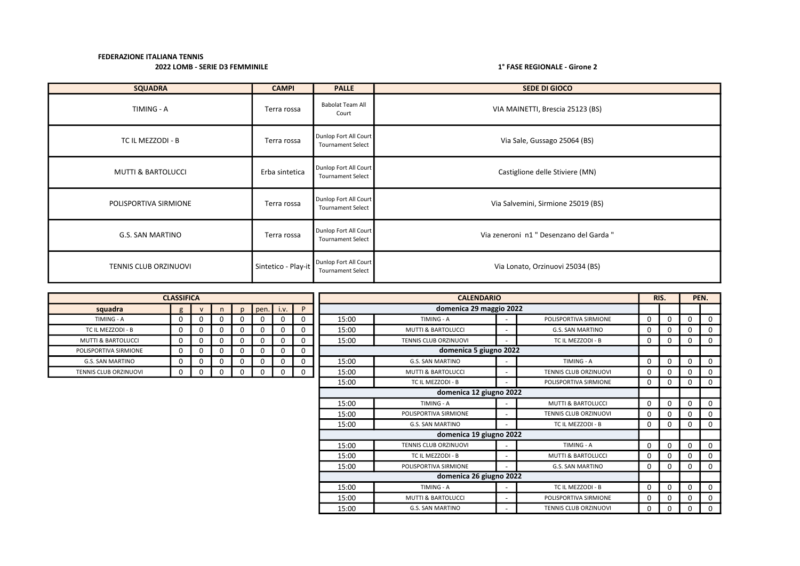| <b>SQUADRA</b>                | <b>CAMPI</b>        | <b>PALLE</b>                                      | <b>SEDE DI GIOCO</b>                    |
|-------------------------------|---------------------|---------------------------------------------------|-----------------------------------------|
| TIMING - A                    | Terra rossa         | <b>Babolat Team All</b><br>Court                  | VIA MAINETTI, Brescia 25123 (BS)        |
| TC IL MEZZODI - B             | Terra rossa         | Dunlop Fort All Court<br><b>Tournament Select</b> | Via Sale, Gussago 25064 (BS)            |
| <b>MUTTI &amp; BARTOLUCCI</b> | Erba sintetica      | Dunlop Fort All Court<br><b>Tournament Select</b> | Castiglione delle Stiviere (MN)         |
| POLISPORTIVA SIRMIONE         | Terra rossa         | Dunlop Fort All Court<br><b>Tournament Select</b> | Via Salvemini, Sirmione 25019 (BS)      |
| <b>G.S. SAN MARTINO</b>       | Terra rossa         | Dunlop Fort All Court<br><b>Tournament Select</b> | Via zeneroni n1 " Desenzano del Garda " |
| TENNIS CLUB ORZINUOVI         | Sintetico - Play-it | Dunlop Fort All Court<br><b>Tournament Select</b> | Via Lonato, Orzinuovi 25034 (BS)        |

|                               | <b>CLASSIFICA</b> |   |          |              |      |          |             |       | <b>CALENDARIO</b>             |  |                               |          |              |             | PEN.     |
|-------------------------------|-------------------|---|----------|--------------|------|----------|-------------|-------|-------------------------------|--|-------------------------------|----------|--------------|-------------|----------|
| squadra                       | g                 |   | n        | $\mathsf{D}$ | pen. | i.v.     | P           |       | domenica 29 maggio 2022       |  |                               |          |              |             |          |
| TIMING - A                    | 0                 | 0 |          |              |      | $\Omega$ | 0           | 15:00 | TIMING - A                    |  | POLISPORTIVA SIRMIONE         | O        | $\mathbf 0$  | 0           | 0        |
| TC IL MEZZODI - B             | $\mathbf 0$       | 0 | 0        | $\Omega$     |      | $\Omega$ | $\mathbf 0$ | 15:00 | <b>MUTTI &amp; BARTOLUCCI</b> |  | G.S. SAN MARTINO              | $\Omega$ | $\mathbf 0$  | 0           | 0        |
| <b>MUTTI &amp; BARTOLUCCI</b> | 0                 | 0 | $\Omega$ | 0            | 0    | $\Omega$ | $\mathbf 0$ | 15:00 | <b>TENNIS CLUB ORZINUOVI</b>  |  | TC IL MEZZODI - B             | 0        | $\mathbf 0$  | 0           | 0        |
| POLISPORTIVA SIRMIONE         | 0                 |   |          | $\Omega$     |      | $\Omega$ | $\mathbf 0$ |       | domenica 5 giugno 2022        |  |                               |          |              |             |          |
| <b>G.S. SAN MARTINO</b>       | 0                 | 0 | 0        | $\Omega$     |      | $\Omega$ | 0           | 15:00 | <b>G.S. SAN MARTINO</b>       |  | TIMING - A                    | $\Omega$ | $\mathbf 0$  | $\Omega$    | $\Omega$ |
| TENNIS CLUB ORZINUOVI         | $\mathbf 0$       | 0 |          | 0            | 0    | $\Omega$ | $\mathbf 0$ | 15:00 | <b>MUTTI &amp; BARTOLUCCI</b> |  | <b>TENNIS CLUB ORZINUOVI</b>  |          | 0            | 0           | 0        |
|                               |                   |   |          |              |      |          |             | 15:00 | TC IL MEZZODI - B             |  | POLISPORTIVA SIRMIONE         | $\Omega$ | $\mathbf 0$  | 0           | $\Omega$ |
|                               |                   |   |          |              |      |          |             |       | domenica 12 giugno 2022       |  |                               |          |              |             |          |
|                               |                   |   |          |              |      |          |             | 15:00 | TIMING - A                    |  | <b>MUTTI &amp; BARTOLUCCI</b> | $\Omega$ | $\mathbf 0$  | $\mathbf 0$ | $\Omega$ |
|                               |                   |   |          |              |      |          |             | 15:00 | POLISPORTIVA SIRMIONE         |  | <b>TENNIS CLUB ORZINUOVI</b>  | 0        | 0            | 0           | 0        |
|                               |                   |   |          |              |      |          |             | 15:00 | <b>G.S. SAN MARTINO</b>       |  | TC IL MEZZODI - B             | $\Omega$ | $\mathbf 0$  | 0           | 0        |
|                               |                   |   |          |              |      |          |             |       | domenica 19 giugno 2022       |  |                               |          |              |             |          |
|                               |                   |   |          |              |      |          |             | 15:00 | <b>TENNIS CLUB ORZINUOVI</b>  |  | TIMING - A                    | $\Omega$ | $\mathbf 0$  | 0           | $\Omega$ |
|                               |                   |   |          |              |      |          |             | 15:00 | TC IL MEZZODI - B             |  | <b>MUTTI &amp; BARTOLUCCI</b> | 0        | 0            | 0           | 0        |
|                               |                   |   |          |              |      |          |             | 15:00 | POLISPORTIVA SIRMIONE         |  | <b>G.S. SAN MARTINO</b>       | 0        | 0            | 0           | 0        |
|                               |                   |   |          |              |      |          |             |       | domenica 26 giugno 2022       |  |                               |          |              |             |          |
|                               |                   |   |          |              |      |          |             | 15:00 | TIMING - A                    |  | TC IL MEZZODI - B             | $\Omega$ | $\mathbf 0$  | 0           | 0        |
|                               |                   |   |          |              |      |          |             | 15:00 | MUTTI & BARTOLUCCI            |  | POLISPORTIVA SIRMIONE         | 0        | 0            | 0           | 0        |
|                               |                   |   |          |              |      |          |             | 15:00 | <b>G.S. SAN MARTINO</b>       |  | <b>TENNIS CLUB ORZINUOVI</b>  | 0        | $\mathbf{0}$ | 0           | 0        |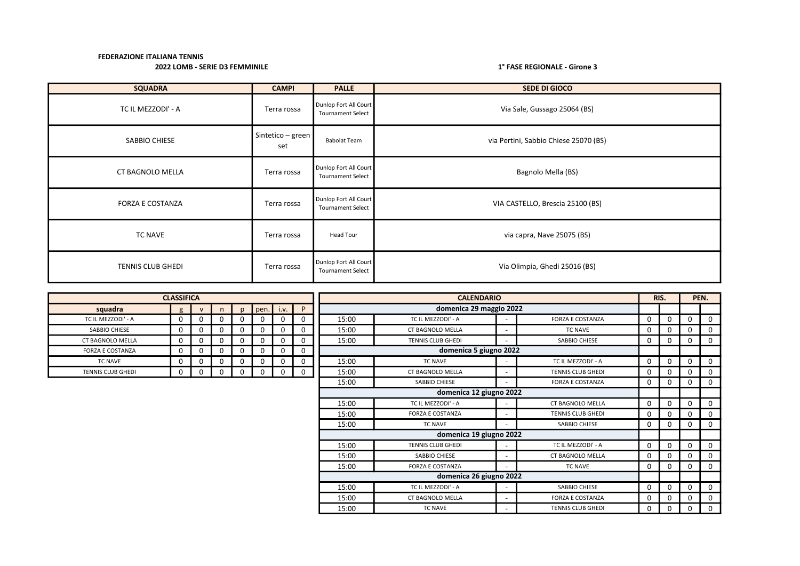| <b>SQUADRA</b>           | <b>CAMPI</b>             | <b>PALLE</b>                                      | SEDE DI GIOCO                         |
|--------------------------|--------------------------|---------------------------------------------------|---------------------------------------|
| TC IL MEZZODI' - A       | Terra rossa              | Dunlop Fort All Court<br><b>Tournament Select</b> | Via Sale, Gussago 25064 (BS)          |
| SABBIO CHIESE            | Sintetico - green<br>set | <b>Babolat Team</b>                               | via Pertini, Sabbio Chiese 25070 (BS) |
| CT BAGNOLO MELLA         | Terra rossa              | Dunlop Fort All Court<br><b>Tournament Select</b> | Bagnolo Mella (BS)                    |
| <b>FORZA E COSTANZA</b>  | Terra rossa              | Dunlop Fort All Court<br><b>Tournament Select</b> | VIA CASTELLO, Brescia 25100 (BS)      |
| TC NAVE                  | Terra rossa              | Head Tour                                         | via capra, Nave 25075 (BS)            |
| <b>TENNIS CLUB GHEDI</b> | Terra rossa              | Dunlop Fort All Court<br><b>Tournament Select</b> | Via Olimpia, Ghedi 25016 (BS)         |

|                         | <b>CLASSIFICA</b> |              |          |              |          |          |             |       | <b>CALENDARIO</b>        |                          |                          |          |             |          | PEN.     |
|-------------------------|-------------------|--------------|----------|--------------|----------|----------|-------------|-------|--------------------------|--------------------------|--------------------------|----------|-------------|----------|----------|
| squadra                 | $\sigma$          | $\mathsf{v}$ | n        | $\mathsf{D}$ | pen.     | i.v.     | P           |       | domenica 29 maggio 2022  |                          |                          |          |             |          |          |
| TC IL MEZZODI' - A      |                   | 0            | 0        |              | 0        |          | 0           | 15:00 | TC IL MEZZODI' - A       | $\overline{\phantom{a}}$ | <b>FORZA E COSTANZA</b>  | 0        | $\mathbf 0$ |          |          |
| SABBIO CHIESE           |                   | $\mathbf 0$  | $\Omega$ | 0            | $\Omega$ |          | 0           | 15:00 | <b>CT BAGNOLO MELLA</b>  | $\overline{\phantom{a}}$ | <b>TC NAVE</b>           | 0        | $\mathbf 0$ |          | $\Omega$ |
| <b>CT BAGNOLO MELLA</b> | $\Omega$          | 0            | 0        | 0            | 0        | $\Omega$ | 0           | 15:00 | <b>TENNIS CLUB GHEDI</b> | ٠                        | SABBIO CHIESE            | 0        | $\mathbf 0$ | 0        | $\Omega$ |
| <b>FORZA E COSTANZA</b> |                   | 0            | $\Omega$ |              | 0        |          | 0           |       | domenica 5 giugno 2022   |                          |                          |          |             |          |          |
| <b>TC NAVE</b>          |                   | 0            | 0        | 0            | 0        |          | 0           | 15:00 | TC NAVE                  | $\overline{\phantom{a}}$ | TC IL MEZZODI' - A       | $\Omega$ | $\mathbf 0$ | 0        |          |
| TENNIS CLUB GHEDI       |                   | 0            | 0        | 0            | 0        |          | $\mathbf 0$ | 15:00 | <b>CT BAGNOLO MELLA</b>  | $\overline{\phantom{0}}$ | <b>TENNIS CLUB GHEDI</b> | 0        | 0           |          | $\Omega$ |
|                         |                   |              |          |              |          |          |             | 15:00 | SABBIO CHIESE            | $\overline{\phantom{0}}$ | <b>FORZA E COSTANZA</b>  | 0        | 0           | 0        | $\Omega$ |
|                         |                   |              |          |              |          |          |             |       | domenica 12 giugno 2022  |                          |                          |          |             |          |          |
|                         |                   |              |          |              |          |          |             | 15:00 | TC IL MEZZODI' - A       | $\overline{\phantom{a}}$ | <b>CT BAGNOLO MELLA</b>  | 0        | $\mathbf 0$ |          |          |
|                         |                   |              |          |              |          |          |             | 15:00 | <b>FORZA E COSTANZA</b>  | $\overline{\phantom{0}}$ | <b>TENNIS CLUB GHEDI</b> | 0        | 0           | 0        |          |
|                         |                   |              |          |              |          |          |             | 15:00 | <b>TC NAVE</b>           | $\overline{\phantom{0}}$ | SABBIO CHIESE            | 0        | 0           | 0        |          |
|                         |                   |              |          |              |          |          |             |       | domenica 19 giugno 2022  |                          |                          |          |             |          |          |
|                         |                   |              |          |              |          |          |             | 15:00 | TENNIS CLUB GHEDI        | $\overline{\phantom{a}}$ | TC IL MEZZODI' - A       | $\Omega$ | $\mathbf 0$ | $\Omega$ | $\Omega$ |
|                         |                   |              |          |              |          |          |             | 15:00 | SABBIO CHIESE            | $\overline{\phantom{a}}$ | <b>CT BAGNOLO MELLA</b>  | 0        | $\Omega$    |          |          |
|                         |                   |              |          |              |          |          |             | 15:00 | <b>FORZA E COSTANZA</b>  | $\overline{\phantom{0}}$ | <b>TC NAVE</b>           | 0        | 0           |          | $\Omega$ |
|                         |                   |              |          |              |          |          |             |       | domenica 26 giugno 2022  |                          |                          |          |             |          |          |
|                         |                   |              |          |              |          |          |             | 15:00 | TC IL MEZZODI' - A       | $\overline{\phantom{a}}$ | SABBIO CHIESE            | $\Omega$ | $\mathbf 0$ | 0        | $\Omega$ |
|                         |                   |              |          |              |          |          |             | 15:00 | <b>CT BAGNOLO MELLA</b>  | $\overline{\phantom{a}}$ | <b>FORZA E COSTANZA</b>  | 0        | 0           |          |          |
|                         |                   |              |          |              |          |          |             | 15:00 | <b>TC NAVE</b>           |                          | <b>TENNIS CLUB GHEDI</b> | 0        | 0           | 0        | 0        |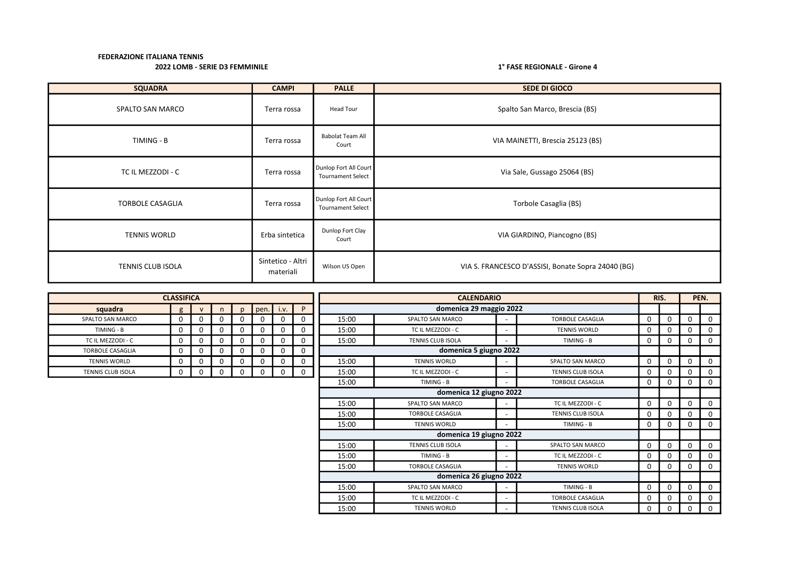| <b>SQUADRA</b>          | <b>CAMPI</b>                   | <b>PALLE</b>                                      | <b>SEDE DI GIOCO</b>                               |
|-------------------------|--------------------------------|---------------------------------------------------|----------------------------------------------------|
| SPALTO SAN MARCO        | Terra rossa                    | Head Tour                                         | Spalto San Marco, Brescia (BS)                     |
| TIMING - B              | Terra rossa                    | <b>Babolat Team All</b><br>Court                  | VIA MAINETTI, Brescia 25123 (BS)                   |
| TC IL MEZZODI - C       | Terra rossa                    | Dunlop Fort All Court<br><b>Tournament Select</b> | Via Sale, Gussago 25064 (BS)                       |
| <b>TORBOLE CASAGLIA</b> | Terra rossa                    | Dunlop Fort All Court<br><b>Tournament Select</b> | Torbole Casaglia (BS)                              |
| <b>TENNIS WORLD</b>     | Erba sintetica                 | Dunlop Fort Clay<br>Court                         | VIA GIARDINO, Piancogno (BS)                       |
| TENNIS CLUB ISOLA       | Sintetico - Altri<br>materiali | Wilson US Open                                    | VIA S. FRANCESCO D'ASSISI, Bonate Sopra 24040 (BG) |

|                         | <b>CLASSIFICA</b> |              |    |              |      |          |             | <b>CALENDARIO</b> |                          |  |                          |          | RIS.         | PEN.     |          |  |
|-------------------------|-------------------|--------------|----|--------------|------|----------|-------------|-------------------|--------------------------|--|--------------------------|----------|--------------|----------|----------|--|
| squadra                 | g                 | $\mathbf{v}$ | n. | $\mathsf{D}$ | pen. | i.v.     | P           |                   | domenica 29 maggio 2022  |  |                          |          |              |          |          |  |
| SPALTO SAN MARCO        | 0                 | O            | 0  | $\Omega$     |      | $\Omega$ | 0           | 15:00             | SPALTO SAN MARCO         |  | <b>TORBOLE CASAGLIA</b>  | 0        |              | 0        | $\Omega$ |  |
| TIMING - B              | 0                 | $\Omega$     | 0  | 0            |      | $\Omega$ | 0           | 15:00             | TC IL MEZZODI - C        |  | <b>TENNIS WORLD</b>      | 0        | <sup>n</sup> | 0        | 0        |  |
| TC IL MEZZODI - C       | 0                 | 0            | 0  | 0            | n    | 0        | 0           | 15:00             | <b>TENNIS CLUB ISOLA</b> |  | TIMING - B               | 0        | 0            | 0        | 0        |  |
| <b>TORBOLE CASAGLIA</b> | $\Omega$          |              | 0  | 0            |      | $\Omega$ | 0           |                   | domenica 5 giugno 2022   |  |                          |          |              |          |          |  |
| <b>TENNIS WORLD</b>     | 0                 | 0            | 0  | 0            |      | $\Omega$ | 0           | 15:00             | <b>TENNIS WORLD</b>      |  | SPALTO SAN MARCO         | 0        | 0            | 0        | $\Omega$ |  |
| TENNIS CLUB ISOLA       | 0                 | 0            | 0  | 0            |      | 0        | $\mathbf 0$ | 15:00             | TC IL MEZZODI - C        |  | TENNIS CLUB ISOLA        | 0        |              | 0        | 0        |  |
|                         |                   |              |    |              |      |          |             | 15:00             | TIMING - B               |  | <b>TORBOLE CASAGLIA</b>  | 0        |              | 0        | $\Omega$ |  |
|                         |                   |              |    |              |      |          |             |                   | domenica 12 giugno 2022  |  |                          |          |              |          |          |  |
|                         |                   |              |    |              |      |          |             | 15:00             | SPALTO SAN MARCO         |  | TC IL MEZZODI - C        | 0        |              | 0        | $\Omega$ |  |
|                         |                   |              |    |              |      |          |             | 15:00             | <b>TORBOLE CASAGLIA</b>  |  | <b>TENNIS CLUB ISOLA</b> | 0        |              | 0        | $\Omega$ |  |
|                         |                   |              |    |              |      |          |             | 15:00             | <b>TENNIS WORLD</b>      |  | TIMING - B               | 0        | 0            | 0        | $\Omega$ |  |
|                         |                   |              |    |              |      |          |             |                   | domenica 19 giugno 2022  |  |                          |          |              |          |          |  |
|                         |                   |              |    |              |      |          |             | 15:00             | TENNIS CLUB ISOLA        |  | SPALTO SAN MARCO         | $\Omega$ | $\Omega$     | $\Omega$ | $\Omega$ |  |
|                         |                   |              |    |              |      |          |             | 15:00             | TIMING - B               |  | TC IL MEZZODI - C        | 0        |              | 0        | $\Omega$ |  |
|                         |                   |              |    |              |      |          |             | 15:00             | <b>TORBOLE CASAGLIA</b>  |  | <b>TENNIS WORLD</b>      | 0        |              | 0        | 0        |  |
|                         |                   |              |    |              |      |          |             |                   | domenica 26 giugno 2022  |  |                          |          |              |          |          |  |
|                         |                   |              |    |              |      |          |             | 15:00             | SPALTO SAN MARCO         |  | TIMING - B               | 0        | 0            | 0        | 0        |  |
|                         |                   |              |    |              |      |          |             | 15:00             | TC IL MEZZODI - C        |  | <b>TORBOLE CASAGLIA</b>  | 0        |              | 0        | 0        |  |
|                         |                   |              |    |              |      |          |             | 15:00             | <b>TENNIS WORLD</b>      |  | <b>TENNIS CLUB ISOLA</b> | 0        |              | 0        | $\Omega$ |  |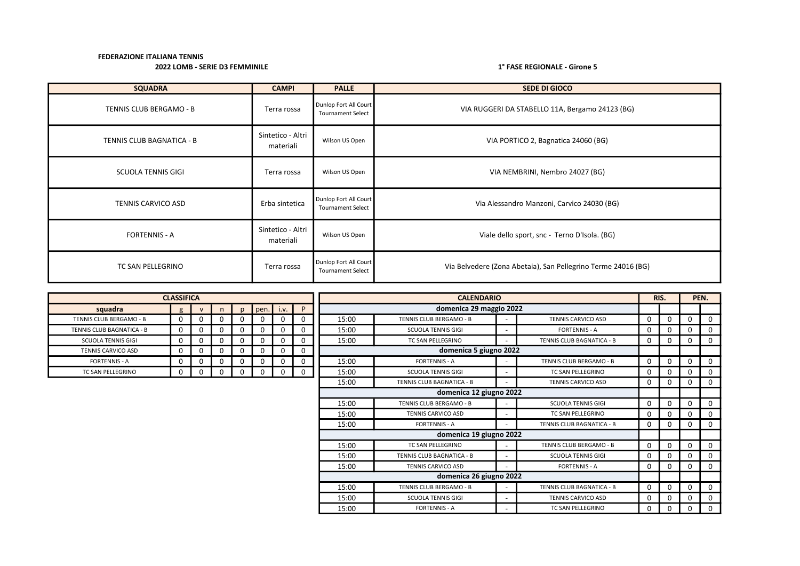| <b>SQUADRA</b>            | <b>CAMPI</b>                   | <b>PALLE</b>                                      | <b>SEDE DI GIOCO</b>                                          |
|---------------------------|--------------------------------|---------------------------------------------------|---------------------------------------------------------------|
| TENNIS CLUB BERGAMO - B   | Terra rossa                    | Dunlop Fort All Court<br><b>Tournament Select</b> | VIA RUGGERI DA STABELLO 11A, Bergamo 24123 (BG)               |
| TENNIS CLUB BAGNATICA - B | Sintetico - Altri<br>materiali | Wilson US Open                                    | VIA PORTICO 2, Bagnatica 24060 (BG)                           |
| <b>SCUOLA TENNIS GIGI</b> | Terra rossa                    | Wilson US Open                                    | VIA NEMBRINI, Nembro 24027 (BG)                               |
| TENNIS CARVICO ASD        | Erba sintetica                 | Dunlop Fort All Court<br><b>Tournament Select</b> | Via Alessandro Manzoni, Carvico 24030 (BG)                    |
| <b>FORTENNIS - A</b>      | Sintetico - Altri<br>materiali | Wilson US Open                                    | Viale dello sport, snc - Terno D'Isola. (BG)                  |
| TC SAN PELLEGRINO         | Terra rossa                    | Dunlop Fort All Court<br><b>Tournament Select</b> | Via Belvedere (Zona Abetaia), San Pellegrino Terme 24016 (BG) |

|                           | <b>CLASSIFICA</b> |              |    |              |      |      |             |       | <b>CALENDARIO</b>         |                          |                           |          | RIS.         |   | PEN.     |
|---------------------------|-------------------|--------------|----|--------------|------|------|-------------|-------|---------------------------|--------------------------|---------------------------|----------|--------------|---|----------|
| squadra                   | g                 | $\mathbf{v}$ | n. | $\mathbf{D}$ | pen. | i.v. | P           |       | domenica 29 maggio 2022   |                          |                           |          |              |   |          |
| TENNIS CLUB BERGAMO - B   | 0                 |              | 0  | 0            |      | 0    | 0           | 15:00 | TENNIS CLUB BERGAMO - B   |                          | <b>TENNIS CARVICO ASD</b> | $\Omega$ | $\mathbf 0$  | 0 | $\Omega$ |
| TENNIS CLUB BAGNATICA - B | 0                 |              | 0  | 0            |      | 0    | 0           | 15:00 | <b>SCUOLA TENNIS GIGI</b> |                          | <b>FORTENNIS - A</b>      | $\Omega$ | 0            | 0 | 0        |
| <b>SCUOLA TENNIS GIGI</b> | $\Omega$          |              | 0  | 0            |      | 0    | $\Omega$    | 15:00 | TC SAN PELLEGRINO         |                          | TENNIS CLUB BAGNATICA - B | 0        | 0            | 0 | $\Omega$ |
| <b>TENNIS CARVICO ASD</b> | 0                 |              | 0  | 0            |      | 0    | 0           |       | domenica 5 giugno 2022    |                          |                           |          |              |   |          |
| <b>FORTENNIS - A</b>      | 0                 |              | 0  | 0            |      | 0    | 0           | 15:00 | <b>FORTENNIS - A</b>      |                          | TENNIS CLUB BERGAMO - B   | $\Omega$ | $\Omega$     | 0 | $\Omega$ |
| TC SAN PELLEGRINO         | 0                 |              | 0  | 0            |      | 0    | $\mathbf 0$ | 15:00 | <b>SCUOLA TENNIS GIGI</b> |                          | TC SAN PELLEGRINO         | 0        | <sup>0</sup> | 0 | 0        |
|                           |                   |              |    |              |      |      |             | 15:00 | TENNIS CLUB BAGNATICA - B |                          | TENNIS CARVICO ASD        | 0        | $\Omega$     | 0 | 0        |
|                           |                   |              |    |              |      |      |             |       | domenica 12 giugno 2022   |                          |                           |          |              |   |          |
|                           |                   |              |    |              |      |      |             | 15:00 | TENNIS CLUB BERGAMO - B   |                          | <b>SCUOLA TENNIS GIGI</b> | $\Omega$ | $\Omega$     | 0 | 0        |
|                           |                   |              |    |              |      |      |             | 15:00 | <b>TENNIS CARVICO ASD</b> | $\overline{\phantom{0}}$ | TC SAN PELLEGRINO         | 0        | 0            | 0 | 0        |
|                           |                   |              |    |              |      |      |             | 15:00 | <b>FORTENNIS - A</b>      |                          | TENNIS CLUB BAGNATICA - B | $\Omega$ | 0            | 0 | $\Omega$ |
|                           |                   |              |    |              |      |      |             |       | domenica 19 giugno 2022   |                          |                           |          |              |   |          |
|                           |                   |              |    |              |      |      |             | 15:00 | TC SAN PELLEGRINO         |                          | TENNIS CLUB BERGAMO - B   | $\Omega$ | $\mathbf 0$  | 0 | $\Omega$ |
|                           |                   |              |    |              |      |      |             | 15:00 | TENNIS CLUB BAGNATICA - B |                          | <b>SCUOLA TENNIS GIGI</b> | 0        | 0            | 0 | 0        |
|                           |                   |              |    |              |      |      |             | 15:00 | <b>TENNIS CARVICO ASD</b> |                          | <b>FORTENNIS - A</b>      | 0        | 0            | 0 | 0        |
|                           |                   |              |    |              |      |      |             |       | domenica 26 giugno 2022   |                          |                           |          |              |   |          |
|                           |                   |              |    |              |      |      |             | 15:00 | TENNIS CLUB BERGAMO - B   |                          | TENNIS CLUB BAGNATICA - B | $\Omega$ | 0            | 0 | 0        |
|                           |                   |              |    |              |      |      |             | 15:00 | <b>SCUOLA TENNIS GIGI</b> |                          | TENNIS CARVICO ASD        | 0        | $\Omega$     | 0 | 0        |
|                           |                   |              |    |              |      |      |             | 15:00 | <b>FORTENNIS - A</b>      |                          | TC SAN PELLEGRINO         | 0        | 0            | 0 |          |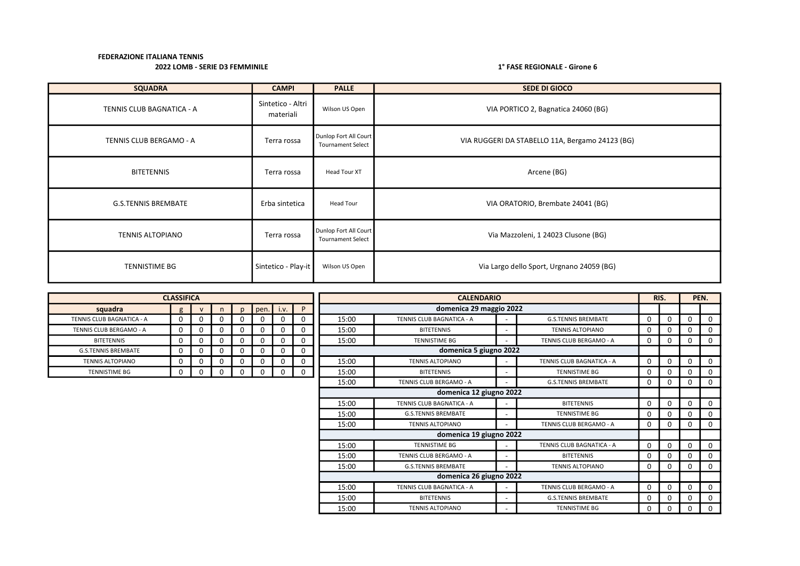## 2022 LOMB - SERIE D3 FEMMINILE 2002 LOMB - SERIE D3 FEMMINILE

| <b>SQUADRA</b>             | <b>CAMPI</b>                   | <b>PALLE</b>                                      | SEDE DI GIOCO                                   |
|----------------------------|--------------------------------|---------------------------------------------------|-------------------------------------------------|
| TENNIS CLUB BAGNATICA - A  | Sintetico - Altri<br>materiali | Wilson US Open                                    | VIA PORTICO 2, Bagnatica 24060 (BG)             |
| TENNIS CLUB BERGAMO - A    | Terra rossa                    | Dunlop Fort All Court<br><b>Tournament Select</b> | VIA RUGGERI DA STABELLO 11A, Bergamo 24123 (BG) |
| <b>BITETENNIS</b>          | Terra rossa                    | Head Tour XT                                      | Arcene (BG)                                     |
| <b>G.S.TENNIS BREMBATE</b> | Erba sintetica                 | Head Tour                                         | VIA ORATORIO, Brembate 24041 (BG)               |
| <b>TENNIS ALTOPIANO</b>    | Terra rossa                    | Dunlop Fort All Court<br><b>Tournament Select</b> | Via Mazzoleni, 1 24023 Clusone (BG)             |
| <b>TENNISTIME BG</b>       | Sintetico - Play-it            | Wilson US Open                                    | Via Largo dello Sport, Urgnano 24059 (BG)       |

|                            | <b>CLASSIFICA</b> |              |          |              |      |      | RIS.<br><b>CALENDARIO</b> |       |                            |                          |                            |   |          |          |              |
|----------------------------|-------------------|--------------|----------|--------------|------|------|---------------------------|-------|----------------------------|--------------------------|----------------------------|---|----------|----------|--------------|
| squadra                    | $\mathbf{g}$      | $\mathsf{v}$ | n.       | $\mathbf{D}$ | pen. | i.v. | P                         |       | domenica 29 maggio 2022    |                          |                            |   |          |          |              |
| TENNIS CLUB BAGNATICA - A  | 0                 | 0            | 0        |              | 0    | 0    |                           | 15:00 | TENNIS CLUB BAGNATICA - A  |                          | <b>G.S.TENNIS BREMBATE</b> | 0 | $\Omega$ | ŋ        | $\Omega$     |
| TENNIS CLUB BERGAMO - A    | $\Omega$          | 0            | $\Omega$ |              | 0    | 0    |                           | 15:00 | <b>BITETENNIS</b>          |                          | <b>TENNIS ALTOPIANO</b>    | 0 | $\Omega$ | O        | $\Omega$     |
| <b>BITETENNIS</b>          | 0                 | 0            | 0        | O            | 0    | 0    |                           | 15:00 | <b>TENNISTIME BG</b>       |                          | TENNIS CLUB BERGAMO - A    | 0 | 0        | 0        | 0            |
| <b>G.S.TENNIS BREMBATE</b> | 0                 | 0            | $\Omega$ |              | 0    | 0    | $\Omega$                  |       | domenica 5 giugno 2022     |                          |                            |   |          |          |              |
| <b>TENNIS ALTOPIANO</b>    | $\Omega$          | 0            | $\Omega$ |              | 0    | 0    |                           | 15:00 | <b>TENNIS ALTOPIANO</b>    |                          | TENNIS CLUB BAGNATICA - A  | 0 | $\Omega$ |          | $\Omega$     |
| <b>TENNISTIME BG</b>       | $\mathbf 0$       | 0            | 0        | $\Omega$     | 0    | 0    | $\Omega$                  | 15:00 | <b>BITETENNIS</b>          |                          | <b>TENNISTIME BG</b>       | 0 | $\Omega$ |          | 0            |
|                            |                   |              |          |              |      |      |                           | 15:00 | TENNIS CLUB BERGAMO - A    |                          | <b>G.S.TENNIS BREMBATE</b> | 0 | $\Omega$ | $\Omega$ | 0            |
|                            |                   |              |          |              |      |      |                           |       | domenica 12 giugno 2022    |                          |                            |   |          |          |              |
|                            |                   |              |          |              |      |      |                           | 15:00 | TENNIS CLUB BAGNATICA - A  |                          | <b>BITETENNIS</b>          | 0 | 0        | O        | $\Omega$     |
|                            |                   |              |          |              |      |      |                           | 15:00 | <b>G.S.TENNIS BREMBATE</b> | $\overline{\phantom{a}}$ | <b>TENNISTIME BG</b>       | 0 | 0        |          | 0            |
|                            |                   |              |          |              |      |      |                           | 15:00 | <b>TENNIS ALTOPIANO</b>    |                          | TENNIS CLUB BERGAMO - A    | 0 | $\Omega$ | $\Omega$ | $\Omega$     |
|                            |                   |              |          |              |      |      |                           |       | domenica 19 giugno 2022    |                          |                            |   |          |          |              |
|                            |                   |              |          |              |      |      |                           | 15:00 | <b>TENNISTIME BG</b>       |                          | TENNIS CLUB BAGNATICA - A  | 0 | $\Omega$ | $\Omega$ | 0            |
|                            |                   |              |          |              |      |      |                           | 15:00 | TENNIS CLUB BERGAMO - A    |                          | <b>BITETENNIS</b>          | 0 | $\Omega$ |          | 0            |
|                            |                   |              |          |              |      |      |                           | 15:00 | <b>G.S.TENNIS BREMBATE</b> |                          | <b>TENNIS ALTOPIANO</b>    | 0 | $\Omega$ | 0        | 0            |
|                            |                   |              |          |              |      |      |                           |       | domenica 26 giugno 2022    |                          |                            |   |          |          |              |
|                            |                   |              |          |              |      |      |                           | 15:00 | TENNIS CLUB BAGNATICA - A  |                          | TENNIS CLUB BERGAMO - A    | 0 | $\Omega$ | $\Omega$ | 0            |
|                            |                   |              |          |              |      |      |                           | 15:00 | <b>BITETENNIS</b>          | $\overline{\phantom{a}}$ | <b>G.S.TENNIS BREMBATE</b> | 0 | 0        |          | $\mathbf{0}$ |
|                            |                   |              |          |              |      |      |                           | 15:00 | <b>TENNIS ALTOPIANO</b>    |                          | <b>TENNISTIME BG</b>       | 0 | 0        | 0        | $\mathbf{0}$ |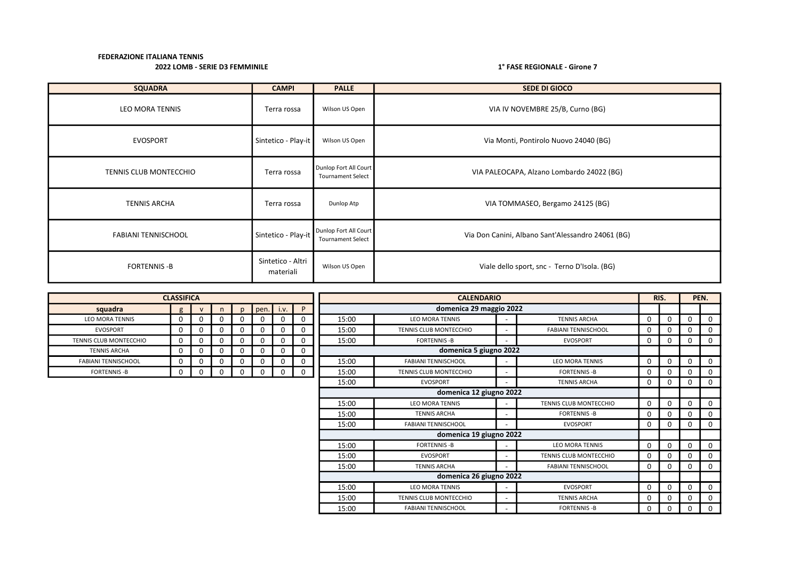| <b>SQUADRA</b>             | <b>CAMPI</b>                   | <b>PALLE</b>                                      | <b>SEDE DI GIOCO</b>                              |
|----------------------------|--------------------------------|---------------------------------------------------|---------------------------------------------------|
| LEO MORA TENNIS            | Terra rossa                    | Wilson US Open                                    | VIA IV NOVEMBRE 25/B, Curno (BG)                  |
| <b>EVOSPORT</b>            | Sintetico - Play-it            | Wilson US Open                                    | Via Monti, Pontirolo Nuovo 24040 (BG)             |
| TENNIS CLUB MONTECCHIO     | Terra rossa                    | Dunlop Fort All Court<br><b>Tournament Select</b> | VIA PALEOCAPA, Alzano Lombardo 24022 (BG)         |
| <b>TENNIS ARCHA</b>        | Terra rossa                    | Dunlop Atp                                        | VIA TOMMASEO, Bergamo 24125 (BG)                  |
| <b>FABIANI TENNISCHOOL</b> | Sintetico - Play-it            | Dunlop Fort All Court<br><b>Tournament Select</b> | Via Don Canini, Albano Sant'Alessandro 24061 (BG) |
| <b>FORTENNIS - B</b>       | Sintetico - Altri<br>materiali | Wilson US Open                                    | Viale dello sport, snc - Terno D'Isola. (BG)      |

|                               | <b>CLASSIFICA</b> |              |          |              |          |             |             | <b>CALENDARIO</b> |                               |                          |                               |              | RIS.     | PEN.        |   |  |
|-------------------------------|-------------------|--------------|----------|--------------|----------|-------------|-------------|-------------------|-------------------------------|--------------------------|-------------------------------|--------------|----------|-------------|---|--|
| squadra                       | $\sigma$          | $\mathbf{V}$ | n        | $\mathbf{D}$ | pen.     | i.v.        | P           |                   | domenica 29 maggio 2022       |                          |                               |              |          |             |   |  |
| <b>LEO MORA TENNIS</b>        | $\Omega$          |              |          | 0            | O        | 0           | 0           | 15:00             | <b>LEO MORA TENNIS</b>        |                          | <b>TENNIS ARCHA</b>           | 0            | 0        | 0           |   |  |
| <b>EVOSPORT</b>               | <sup>0</sup>      | $\Omega$     | $\Omega$ | 0            | 0        | 0           | $\mathbf 0$ | 15:00             | TENNIS CLUB MONTECCHIO        |                          | <b>FABIANI TENNISCHOOL</b>    | 0            | 0        | 0           | 0 |  |
| <b>TENNIS CLUB MONTECCHIO</b> | 0                 | $\Omega$     | $\Omega$ | 0            | 0        | 0           | $\mathbf 0$ | 15:00             | <b>FORTENNIS-B</b>            |                          | <b>EVOSPORT</b>               | $\mathbf{0}$ | 0        | 0           |   |  |
| <b>TENNIS ARCHA</b>           | $\Omega$          | $\Omega$     | $\Omega$ | 0            | $\Omega$ | 0           | $\mathbf 0$ |                   | domenica 5 giugno 2022        |                          |                               |              |          |             |   |  |
| <b>FABIANI TENNISCHOOL</b>    | 0                 | O            | $\Omega$ | 0            | 0        | $\mathbf 0$ | 0           | 15:00             | <b>FABIANI TENNISCHOOL</b>    |                          | <b>LEO MORA TENNIS</b>        | 0            | 0        | 0           |   |  |
| <b>FORTENNIS - B</b>          | 0                 | 0            |          | 0            | $\Omega$ | 0           | $\mathbf 0$ | 15:00             | <b>TENNIS CLUB MONTECCHIO</b> |                          | <b>FORTENNIS-B</b>            | 0            | 0        | 0           | 0 |  |
|                               |                   |              |          |              |          |             |             | 15:00             | <b>EVOSPORT</b>               |                          | <b>TENNIS ARCHA</b>           | 0            | 0        | 0           | 0 |  |
|                               |                   |              |          |              |          |             |             |                   | domenica 12 giugno 2022       |                          |                               |              |          |             |   |  |
|                               |                   |              |          |              |          |             |             | 15:00             | <b>LEO MORA TENNIS</b>        |                          | <b>TENNIS CLUB MONTECCHIO</b> | 0            | 0        | $\mathbf 0$ | 0 |  |
|                               |                   |              |          |              |          |             |             | 15:00             | <b>TENNIS ARCHA</b>           |                          | <b>FORTENNIS-B</b>            | 0            | 0        | 0           | 0 |  |
|                               |                   |              |          |              |          |             |             | 15:00             | <b>FABIANI TENNISCHOOL</b>    |                          | <b>EVOSPORT</b>               | 0            | 0        | 0           | 0 |  |
|                               |                   |              |          |              |          |             |             |                   | domenica 19 giugno 2022       |                          |                               |              |          |             |   |  |
|                               |                   |              |          |              |          |             |             | 15:00             | <b>FORTENNIS - B</b>          |                          | <b>LEO MORA TENNIS</b>        | 0            | 0        | 0           |   |  |
|                               |                   |              |          |              |          |             |             | 15:00             | <b>EVOSPORT</b>               |                          | TENNIS CLUB MONTECCHIO        | 0            | 0        | 0           |   |  |
|                               |                   |              |          |              |          |             |             | 15:00             | <b>TENNIS ARCHA</b>           |                          | <b>FABIANI TENNISCHOOL</b>    | 0            | $\Omega$ | 0           | 0 |  |
|                               |                   |              |          |              |          |             |             |                   | domenica 26 giugno 2022       |                          |                               |              |          |             |   |  |
|                               |                   |              |          |              |          |             |             | 15:00             | LEO MORA TENNIS               | $\overline{\phantom{a}}$ | <b>EVOSPORT</b>               | $\mathbf{0}$ | 0        | 0           | 0 |  |
|                               |                   |              |          |              |          |             |             | 15:00             | TENNIS CLUB MONTECCHIO        |                          | <b>TENNIS ARCHA</b>           | 0            |          | 0           |   |  |
|                               |                   |              |          |              |          |             |             | 15:00             | <b>FABIANI TENNISCHOOL</b>    |                          | <b>FORTENNIS-B</b>            | 0            | 0        | 0           | 0 |  |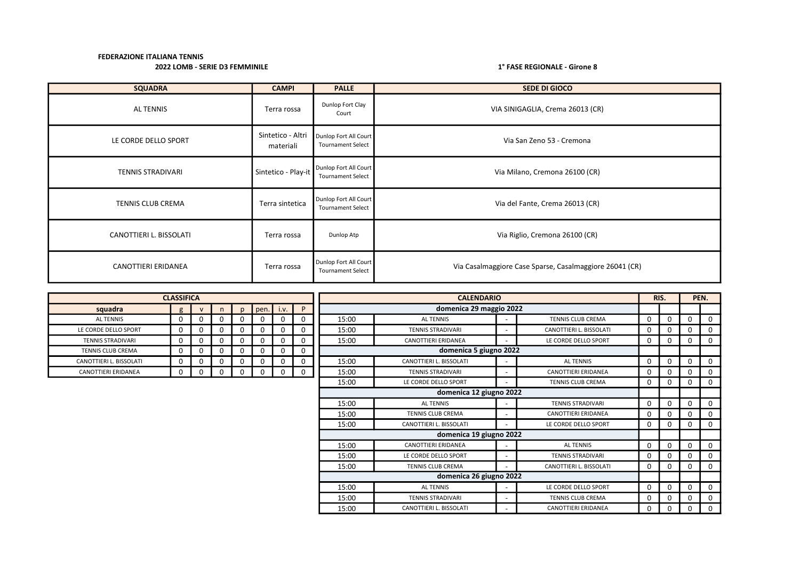| <b>SQUADRA</b>           | <b>CAMPI</b>                   | <b>PALLE</b>                                      | SEDE DI GIOCO                                           |
|--------------------------|--------------------------------|---------------------------------------------------|---------------------------------------------------------|
| AL TENNIS                | Terra rossa                    | Dunlop Fort Clay<br>Court                         | VIA SINIGAGLIA, Crema 26013 (CR)                        |
| LE CORDE DELLO SPORT     | Sintetico - Altri<br>materiali | Dunlop Fort All Court<br><b>Tournament Select</b> | Via San Zeno 53 - Cremona                               |
| <b>TENNIS STRADIVARI</b> | Sintetico - Play-it            | Dunlop Fort All Court<br><b>Tournament Select</b> | Via Milano, Cremona 26100 (CR)                          |
| TENNIS CLUB CREMA        | Terra sintetica                | Dunlop Fort All Court<br><b>Tournament Select</b> | Via del Fante, Crema 26013 (CR)                         |
| CANOTTIERI L. BISSOLATI  | Terra rossa                    | Dunlop Atp                                        | Via Riglio, Cremona 26100 (CR)                          |
| CANOTTIERI ERIDANEA      | Terra rossa                    | Dunlop Fort All Court<br><b>Tournament Select</b> | Via Casalmaggiore Case Sparse, Casalmaggiore 26041 (CR) |

|                            | <b>CLASSIFICA</b> |              |   |              |             |          | <b>CALENDARIO</b> |                          |                              |                            |             | RIS.     | PEN.     |             |
|----------------------------|-------------------|--------------|---|--------------|-------------|----------|-------------------|--------------------------|------------------------------|----------------------------|-------------|----------|----------|-------------|
| squadra                    | $\sigma$          | $\mathbf{v}$ | n |              | $pen.$ i.v. | P        |                   | domenica 29 maggio 2022  |                              |                            |             |          |          |             |
| <b>ALTENNIS</b>            | 0                 |              | 0 |              | 0           |          | 15:00             | <b>AL TENNIS</b>         |                              | <b>TENNIS CLUB CREMA</b>   | 0           | 0        | 0        | $\Omega$    |
| LE CORDE DELLO SPORT       | 0                 | 0            | 0 | <sup>0</sup> | $\mathbf 0$ | 0        | 15:00             | <b>TENNIS STRADIVARI</b> | $\qquad \qquad \blacksquare$ | CANOTTIERI L. BISSOLATI    | $\mathbf 0$ | 0        | 0        | 0           |
| <b>TENNIS STRADIVARI</b>   | 0                 | 0            | 0 |              | 0           |          | 15:00             | CANOTTIERI ERIDANEA      | $\qquad \qquad$              | LE CORDE DELLO SPORT       | 0           | 0        | 0        | 0           |
| <b>TENNIS CLUB CREMA</b>   | 0                 | $\Omega$     | 0 | $\Omega$     | $\mathbf 0$ | 0        |                   | domenica 5 giugno 2022   |                              |                            |             |          |          |             |
| CANOTTIERI L. BISSOLATI    | 0                 | 0            | 0 |              | $\mathbf 0$ |          | 15:00             | CANOTTIERI L. BISSOLATI  |                              | <b>ALTENNIS</b>            | 0           | 0        | 0        | $\mathbf 0$ |
| <b>CANOTTIERI ERIDANEA</b> | 0                 |              | 0 |              | 0           | $\Omega$ | 15:00             | <b>TENNIS STRADIVARI</b> | $\overline{\phantom{0}}$     | <b>CANOTTIERI ERIDANEA</b> | 0           | 0        | 0        | 0           |
|                            |                   |              |   |              |             |          | 15:00             | LE CORDE DELLO SPORT     | $\overline{\phantom{0}}$     | <b>TENNIS CLUB CREMA</b>   | 0           | 0        | 0        | 0           |
|                            |                   |              |   |              |             |          |                   | domenica 12 giugno 2022  |                              |                            |             |          |          |             |
|                            |                   |              |   |              |             |          | 15:00             | <b>ALTENNIS</b>          | ٠                            | <b>TENNIS STRADIVARI</b>   | 0           | 0        | 0        | $\Omega$    |
|                            |                   |              |   |              |             |          | 15:00             | <b>TENNIS CLUB CREMA</b> |                              | <b>CANOTTIERI ERIDANEA</b> | 0           |          | 0        | 0           |
|                            |                   |              |   |              |             |          | 15:00             | CANOTTIERI L. BISSOLATI  | ٠                            | LE CORDE DELLO SPORT       | 0           | 0        | 0        | $\Omega$    |
|                            |                   |              |   |              |             |          |                   | domenica 19 giugno 2022  |                              |                            |             |          |          |             |
|                            |                   |              |   |              |             |          | 15:00             | CANOTTIERI ERIDANEA      | $\overline{\phantom{a}}$     | <b>ALTENNIS</b>            | $\mathbf 0$ | $\Omega$ | 0        | $\Omega$    |
|                            |                   |              |   |              |             |          | 15:00             | LE CORDE DELLO SPORT     | $\qquad \qquad \blacksquare$ | <b>TENNIS STRADIVARI</b>   | 0           |          | 0        | $\Omega$    |
|                            |                   |              |   |              |             |          | 15:00             | <b>TENNIS CLUB CREMA</b> | $\qquad \qquad \blacksquare$ | CANOTTIERI L. BISSOLATI    | 0           | 0        | 0        | $\Omega$    |
|                            |                   |              |   |              |             |          |                   | domenica 26 giugno 2022  |                              |                            |             |          |          |             |
|                            |                   |              |   |              |             |          | 15:00             | <b>ALTENNIS</b>          | $\qquad \qquad \blacksquare$ | LE CORDE DELLO SPORT       | 0           | $\Omega$ | $\Omega$ | $\Omega$    |
|                            |                   |              |   |              |             |          | 15:00             | <b>TENNIS STRADIVARI</b> | $\overline{\phantom{0}}$     | <b>TENNIS CLUB CREMA</b>   | 0           | 0        | 0        | $\Omega$    |
|                            |                   |              |   |              |             |          | 15:00             | CANOTTIERI L. BISSOLATI  | ۰.                           | <b>CANOTTIERI ERIDANEA</b> | 0           | 0        | 0        | 0           |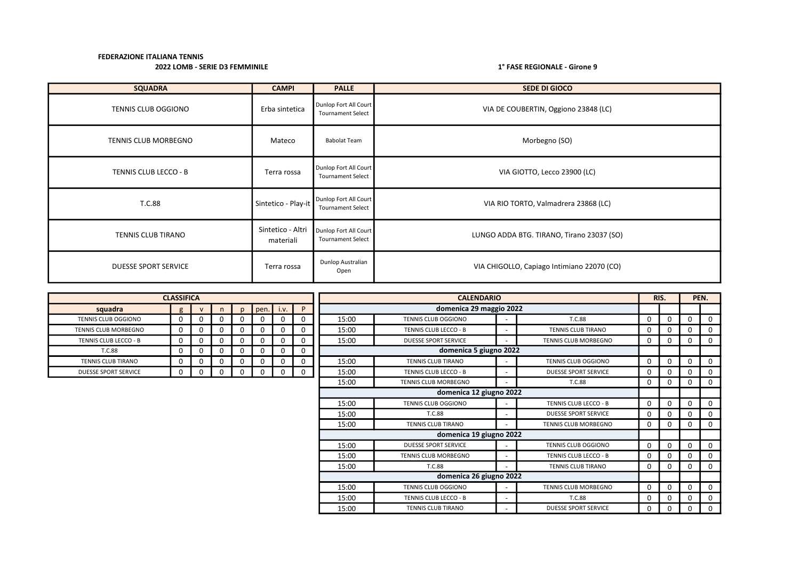| <b>SQUADRA</b>              | <b>CAMPI</b>                   | <b>PALLE</b>                                      | <b>SEDE DI GIOCO</b>                       |
|-----------------------------|--------------------------------|---------------------------------------------------|--------------------------------------------|
| TENNIS CLUB OGGIONO         | Erba sintetica                 | Dunlop Fort All Court<br><b>Tournament Select</b> | VIA DE COUBERTIN, Oggiono 23848 (LC)       |
| <b>TENNIS CLUB MORBEGNO</b> | Mateco                         | <b>Babolat Team</b>                               | Morbegno (SO)                              |
| TENNIS CLUB LECCO - B       | Terra rossa                    | Dunlop Fort All Court<br><b>Tournament Select</b> | VIA GIOTTO, Lecco 23900 (LC)               |
| T.C.88                      | Sintetico - Play-it            | Dunlop Fort All Court<br><b>Tournament Select</b> | VIA RIO TORTO, Valmadrera 23868 (LC)       |
| TENNIS CLUB TIRANO          | Sintetico - Altri<br>materiali | Dunlop Fort All Court<br><b>Tournament Select</b> | LUNGO ADDA BTG. TIRANO, Tirano 23037 (SO)  |
| <b>DUESSE SPORT SERVICE</b> | Terra rossa                    | Dunlop Australian<br>Open                         | VIA CHIGOLLO, Capiago Intimiano 22070 (CO) |

|                             | <b>CLASSIFICA</b> |              |          |              |          |          |          | <b>CALENDARIO</b> |                             |                          |                             |   |          |             | PEN.     |
|-----------------------------|-------------------|--------------|----------|--------------|----------|----------|----------|-------------------|-----------------------------|--------------------------|-----------------------------|---|----------|-------------|----------|
| squadra                     | g                 | $\mathsf{v}$ | n.       | $\mathsf{D}$ | pen.     | i.v.     | P        |                   | domenica 29 maggio 2022     |                          |                             |   |          |             |          |
| <b>TENNIS CLUB OGGIONO</b>  | 0                 | 0            | 0        | 0            | $\Omega$ |          | 0        | 15:00             | <b>TENNIS CLUB OGGIONO</b>  |                          | T.C.88                      | 0 | $\Omega$ | 0           | $\Omega$ |
| TENNIS CLUB MORBEGNO        | $\Omega$          | 0            | 0        | 0            | $\Omega$ |          | $\Omega$ | 15:00             | TENNIS CLUB LECCO - B       |                          | <b>TENNIS CLUB TIRANO</b>   |   | 0        | $\Omega$    | 0        |
| TENNIS CLUB LECCO - B       | 0                 | 0            | 0        | 0            | $\Omega$ | 0        | 0        | 15:00             | <b>DUESSE SPORT SERVICE</b> |                          | <b>TENNIS CLUB MORBEGNO</b> | 0 | 0        | 0           | 0        |
| T.C.88                      | 0                 | 0            |          | 0            | $\Omega$ |          | 0        |                   | domenica 5 giugno 2022      |                          |                             |   |          |             |          |
| <b>TENNIS CLUB TIRANO</b>   | 0                 | 0            | $\Omega$ | 0            | $\Omega$ | $\Omega$ | 0        | 15:00             | <b>TENNIS CLUB TIRANO</b>   |                          | <b>TENNIS CLUB OGGIONO</b>  |   | $\Omega$ | $\mathbf 0$ | $\Omega$ |
| <b>DUESSE SPORT SERVICE</b> | 0                 | 0            |          | 0            |          | 0        | 0        | 15:00             | TENNIS CLUB LECCO - B       | $\overline{\phantom{a}}$ | <b>DUESSE SPORT SERVICE</b> |   | 0        | 0           | 0        |
|                             |                   |              |          |              |          |          |          | 15:00             | <b>TENNIS CLUB MORBEGNO</b> |                          | T.C.88                      | 0 | $\Omega$ | 0           | 0        |
|                             |                   |              |          |              |          |          |          |                   | domenica 12 giugno 2022     |                          |                             |   |          |             |          |
|                             |                   |              |          |              |          |          |          | 15:00             | <b>TENNIS CLUB OGGIONO</b>  |                          | TENNIS CLUB LECCO - B       |   | $\Omega$ | $\Omega$    | 0        |
|                             |                   |              |          |              |          |          |          | 15:00             | T.C.88                      | $\overline{\phantom{a}}$ | <b>DUESSE SPORT SERVICE</b> |   | 0        | $\Omega$    | 0        |
|                             |                   |              |          |              |          |          |          | 15:00             | TENNIS CLUB TIRANO          | $\overline{\phantom{a}}$ | TENNIS CLUB MORBEGNO        | 0 | 0        | 0           | 0        |
|                             |                   |              |          |              |          |          |          |                   | domenica 19 giugno 2022     |                          |                             |   |          |             |          |
|                             |                   |              |          |              |          |          |          | 15:00             | <b>DUESSE SPORT SERVICE</b> |                          | <b>TENNIS CLUB OGGIONO</b>  | 0 | $\Omega$ | $\Omega$    | 0        |
|                             |                   |              |          |              |          |          |          | 15:00             | <b>TENNIS CLUB MORBEGNO</b> |                          | TENNIS CLUB LECCO - B       | 0 | $\Omega$ | $\Omega$    | 0        |
|                             |                   |              |          |              |          |          |          | 15:00             | T.C.88                      | $\overline{\phantom{0}}$ | <b>TENNIS CLUB TIRANO</b>   | 0 | 0        | $\Omega$    | 0        |
|                             |                   |              |          |              |          |          |          |                   | domenica 26 giugno 2022     |                          |                             |   |          |             |          |
|                             |                   |              |          |              |          |          |          | 15:00             | TENNIS CLUB OGGIONO         | $\overline{\phantom{a}}$ | TENNIS CLUB MORBEGNO        | 0 | 0        | $\Omega$    | 0        |
|                             |                   |              |          |              |          |          |          | 15:00             | TENNIS CLUB LECCO - B       |                          | T.C.88                      |   | 0        | $\Omega$    | 0        |
|                             |                   |              |          |              |          |          |          | 15:00             | <b>TENNIS CLUB TIRANO</b>   | $\overline{\phantom{0}}$ | <b>DUESSE SPORT SERVICE</b> | U | $\Omega$ |             | $\Omega$ |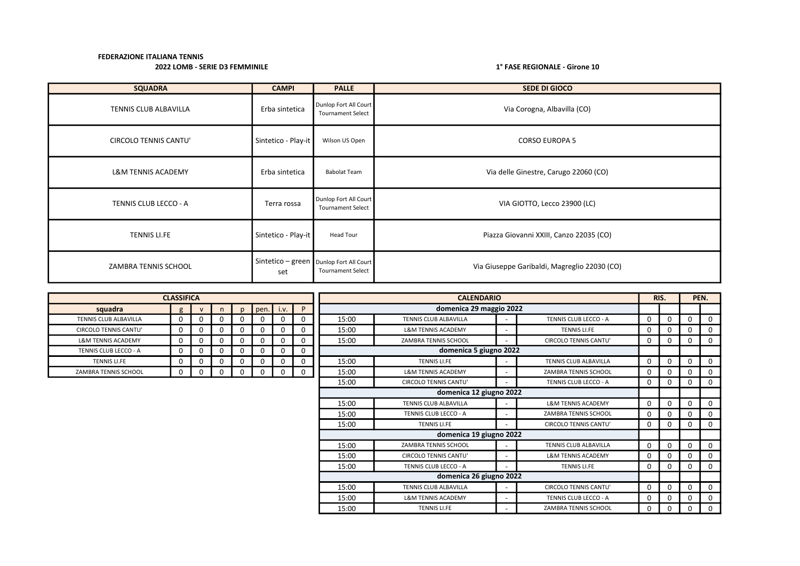| <b>SQUADRA</b>                | <b>CAMPI</b>        | <b>PALLE</b>                                                          | <b>SEDE DI GIOCO</b>                         |
|-------------------------------|---------------------|-----------------------------------------------------------------------|----------------------------------------------|
| TENNIS CLUB ALBAVILLA         | Erba sintetica      | Dunlop Fort All Court<br><b>Tournament Select</b>                     | Via Corogna, Albavilla (CO)                  |
| <b>CIRCOLO TENNIS CANTU'</b>  | Sintetico - Play-it | Wilson US Open                                                        | <b>CORSO EUROPA 5</b>                        |
| <b>L&amp;M TENNIS ACADEMY</b> | Erba sintetica      | <b>Babolat Team</b>                                                   | Via delle Ginestre, Carugo 22060 (CO)        |
| TENNIS CLUB LECCO - A         | Terra rossa         | Dunlop Fort All Court<br><b>Tournament Select</b>                     | VIA GIOTTO, Lecco 23900 (LC)                 |
| <b>TENNIS LI.FE</b>           | Sintetico - Play-it | <b>Head Tour</b>                                                      | Piazza Giovanni XXIII, Canzo 22035 (CO)      |
| ZAMBRA TENNIS SCHOOL          | set                 | Sintetico - green   Dunlop Fort All Court<br><b>Tournament Select</b> | Via Giuseppe Garibaldi, Magreglio 22030 (CO) |

|                               | <b>CLASSIFICA</b> |              |          |              |      |          |   | <b>CALENDARIO</b> |                               |  |                               |          | RIS.     |          | PEN. |
|-------------------------------|-------------------|--------------|----------|--------------|------|----------|---|-------------------|-------------------------------|--|-------------------------------|----------|----------|----------|------|
| squadra                       | $\sigma$          | $\mathsf{v}$ |          | $\mathsf{D}$ | pen. | i.v.     | P |                   | domenica 29 maggio 2022       |  |                               |          |          |          |      |
| TENNIS CLUB ALBAVILLA         |                   | 0            | 0        |              | 0    |          | 0 | 15:00             | <b>TENNIS CLUB ALBAVILLA</b>  |  | TENNIS CLUB LECCO - A         | $\Omega$ | 0        | $\Omega$ |      |
| <b>CIRCOLO TENNIS CANTU'</b>  | <sup>n</sup>      | 0            | $\Omega$ | 0            | 0    |          | 0 | 15:00             | <b>L&amp;M TENNIS ACADEMY</b> |  | <b>TENNIS LI.FE</b>           | 0        | 0        | 0        |      |
| <b>L&amp;M TENNIS ACADEMY</b> | $\Omega$          | 0            | 0        | 0            | 0    | $\Omega$ | 0 | 15:00             | ZAMBRA TENNIS SCHOOL          |  | <b>CIRCOLO TENNIS CANTU'</b>  | 0        | 0        | 0        |      |
| TENNIS CLUB LECCO - A         | O                 | 0            | 0        |              | 0    |          | 0 |                   | domenica 5 giugno 2022        |  |                               |          |          |          |      |
| <b>TENNIS LI.FE</b>           |                   | 0            | 0        |              | 0    |          | 0 | 15:00             | <b>TENNIS LI.FE</b>           |  | TENNIS CLUB ALBAVILLA         | 0        | 0        | $\Omega$ |      |
| ZAMBRA TENNIS SCHOOL          |                   | 0            | 0        |              | 0    | $\Omega$ | 0 | 15:00             | <b>L&amp;M TENNIS ACADEMY</b> |  | ZAMBRA TENNIS SCHOOL          | 0        | 0        | 0        |      |
|                               |                   |              |          |              |      |          |   | 15:00             | <b>CIRCOLO TENNIS CANTU'</b>  |  | TENNIS CLUB LECCO - A         | 0        | 0        | $\Omega$ |      |
|                               |                   |              |          |              |      |          |   |                   | domenica 12 giugno 2022       |  |                               |          |          |          |      |
|                               |                   |              |          |              |      |          |   | 15:00             | TENNIS CLUB ALBAVILLA         |  | <b>L&amp;M TENNIS ACADEMY</b> | $\Omega$ | 0        | $\Omega$ |      |
|                               |                   |              |          |              |      |          |   | 15:00             | TENNIS CLUB LECCO - A         |  | <b>ZAMBRA TENNIS SCHOOL</b>   | ŋ        | 0        | $\Omega$ |      |
|                               |                   |              |          |              |      |          |   | 15:00             | <b>TENNIS LI.FE</b>           |  | <b>CIRCOLO TENNIS CANTU'</b>  | 0        | $\Omega$ | $\Omega$ |      |
|                               |                   |              |          |              |      |          |   |                   | domenica 19 giugno 2022       |  |                               |          |          |          |      |
|                               |                   |              |          |              |      |          |   | 15:00             | ZAMBRA TENNIS SCHOOL          |  | TENNIS CLUB ALBAVILLA         | 0        | $\Omega$ | 0        |      |
|                               |                   |              |          |              |      |          |   | 15:00             | <b>CIRCOLO TENNIS CANTU'</b>  |  | <b>L&amp;M TENNIS ACADEMY</b> | 0        | 0        | 0        |      |
|                               |                   |              |          |              |      |          |   | 15:00             | TENNIS CLUB LECCO - A         |  | <b>TENNIS LI.FE</b>           | $\Omega$ | 0        | $\Omega$ |      |
|                               |                   |              |          |              |      |          |   |                   | domenica 26 giugno 2022       |  |                               |          |          |          |      |
|                               |                   |              |          |              |      |          |   | 15:00             | <b>TENNIS CLUB ALBAVILLA</b>  |  | <b>CIRCOLO TENNIS CANTU'</b>  | 0        | 0        | 0        | 0    |
|                               |                   |              |          |              |      |          |   | 15:00             | <b>L&amp;M TENNIS ACADEMY</b> |  | TENNIS CLUB LECCO - A         | ŋ        | 0        | 0        |      |
|                               |                   |              |          |              |      |          |   | 15:00             | <b>TENNIS LI.FE</b>           |  | ZAMBRA TENNIS SCHOOL          | 0        | 0        | 0        |      |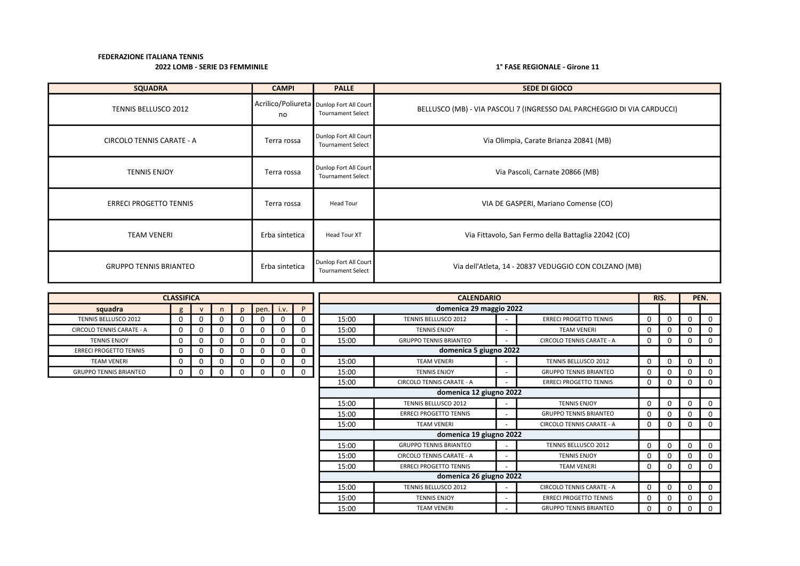| <b>SQUADRA</b>                   | <b>CAMPI</b>                                   | <b>PALLE</b>                                      | <b>SEDE DI GIOCO</b>                                                    |
|----------------------------------|------------------------------------------------|---------------------------------------------------|-------------------------------------------------------------------------|
| TENNIS BELLUSCO 2012             | Acrilico/Poliureta Dunlop Fort All Court<br>no | <b>Tournament Select</b>                          | BELLUSCO (MB) - VIA PASCOLI 7 (INGRESSO DAL PARCHEGGIO DI VIA CARDUCCI) |
| <b>CIRCOLO TENNIS CARATE - A</b> | Terra rossa                                    | Dunlop Fort All Court<br><b>Tournament Select</b> | Via Olimpia, Carate Brianza 20841 (MB)                                  |
| <b>TENNIS ENJOY</b>              | Terra rossa                                    | Dunlop Fort All Court<br><b>Tournament Select</b> | Via Pascoli, Carnate 20866 (MB)                                         |
| <b>ERRECI PROGETTO TENNIS</b>    | Terra rossa                                    | Head Tour                                         | VIA DE GASPERI, Mariano Comense (CO)                                    |
| TEAM VENERI                      | Erba sintetica                                 | <b>Head Tour XT</b>                               | Via Fittavolo, San Fermo della Battaglia 22042 (CO)                     |
| <b>GRUPPO TENNIS BRIANTEO</b>    | Erba sintetica                                 | Dunlop Fort All Court<br><b>Tournament Select</b> | Via dell'Atleta, 14 - 20837 VEDUGGIO CON COLZANO (MB)                   |

|                               | <b>CLASSIFICA</b> |              |  |          |      |      |                         |       | <b>CALENDARIO</b>                |                          |                                  |             |              |          | PEN.     |
|-------------------------------|-------------------|--------------|--|----------|------|------|-------------------------|-------|----------------------------------|--------------------------|----------------------------------|-------------|--------------|----------|----------|
| squadra                       | g                 | $\mathbf{v}$ |  | n.       | pen. | i.v. | P                       |       | domenica 29 maggio 2022          |                          |                                  |             |              |          |          |
| <b>TENNIS BELLUSCO 2012</b>   | 0                 | 0            |  | $\Omega$ | 0    |      | 0                       | 15:00 | <b>TENNIS BELLUSCO 2012</b>      |                          | <b>ERRECI PROGETTO TENNIS</b>    | 0           |              | $\Omega$ | $\Omega$ |
| CIRCOLO TENNIS CARATE - A     | 0                 | 0            |  | $\Omega$ |      |      | $\mathbf 0$             | 15:00 | <b>TENNIS ENJOY</b>              |                          | <b>TEAM VENERI</b>               | 0           |              | 0        | 0        |
| <b>TENNIS ENJOY</b>           | 0                 | 0            |  | 0        | 0    |      | $\mathbf 0$             | 15:00 | <b>GRUPPO TENNIS BRIANTEO</b>    |                          | CIRCOLO TENNIS CARATE - A        | 0           |              | 0        | 0        |
| <b>ERRECI PROGETTO TENNIS</b> | $\Omega$          | 0            |  | $\Omega$ | 0    |      | 0                       |       | domenica 5 giugno 2022           |                          |                                  |             |              |          |          |
| <b>TEAM VENERI</b>            | 0                 | 0            |  | 0        | 0    |      | $\mathbf 0$             | 15:00 | <b>TEAM VENERI</b>               |                          | <b>TENNIS BELLUSCO 2012</b>      | 0           |              | 0        | $\Omega$ |
| <b>GRUPPO TENNIS BRIANTEO</b> | 0                 | 0            |  | $\Omega$ | 0    |      | $\mathbf 0$             | 15:00 | <b>TENNIS ENJOY</b>              |                          | <b>GRUPPO TENNIS BRIANTEO</b>    | 0           |              | 0        | $\Omega$ |
|                               |                   |              |  |          |      |      |                         | 15:00 | <b>CIRCOLO TENNIS CARATE - A</b> |                          | <b>ERRECI PROGETTO TENNIS</b>    | $\Omega$    |              | $\Omega$ | $\Omega$ |
|                               |                   |              |  |          |      |      | domenica 12 giugno 2022 |       |                                  |                          |                                  |             |              |          |          |
|                               |                   |              |  |          |      |      |                         | 15:00 | <b>TENNIS BELLUSCO 2012</b>      |                          | <b>TENNIS ENJOY</b>              | $\Omega$    |              | $\Omega$ | $\Omega$ |
|                               |                   |              |  |          |      |      |                         | 15:00 | <b>ERRECI PROGETTO TENNIS</b>    |                          | <b>GRUPPO TENNIS BRIANTEO</b>    | 0           |              | 0        | 0        |
|                               |                   |              |  |          |      |      |                         | 15:00 | <b>TEAM VENERI</b>               | $\overline{\phantom{a}}$ | CIRCOLO TENNIS CARATE - A        | 0           |              | 0        | $\Omega$ |
|                               |                   |              |  |          |      |      |                         |       | domenica 19 giugno 2022          |                          |                                  |             |              |          |          |
|                               |                   |              |  |          |      |      |                         | 15:00 | <b>GRUPPO TENNIS BRIANTEO</b>    |                          | <b>TENNIS BELLUSCO 2012</b>      | $\mathbf 0$ | <sup>n</sup> | $\Omega$ | $\Omega$ |
|                               |                   |              |  |          |      |      |                         | 15:00 | CIRCOLO TENNIS CARATE - A        |                          | <b>TENNIS ENJOY</b>              | 0           |              | 0        | $\Omega$ |
|                               |                   |              |  |          |      |      |                         | 15:00 | <b>ERRECI PROGETTO TENNIS</b>    |                          | <b>TEAM VENERI</b>               | $\Omega$    |              | 0        | $\Omega$ |
|                               |                   |              |  |          |      |      |                         |       | domenica 26 giugno 2022          |                          |                                  |             |              |          |          |
|                               |                   |              |  |          |      |      |                         | 15:00 | <b>TENNIS BELLUSCO 2012</b>      |                          | <b>CIRCOLO TENNIS CARATE - A</b> | $\Omega$    | <sup>n</sup> | 0        | 0        |
|                               |                   |              |  |          |      |      |                         | 15:00 | <b>TENNIS ENJOY</b>              |                          | <b>ERRECI PROGETTO TENNIS</b>    | 0           |              | 0        | 0        |
|                               |                   |              |  |          |      |      |                         | 15:00 | <b>TEAM VENERI</b>               |                          | <b>GRUPPO TENNIS BRIANTEO</b>    | 0           |              | 0        | 0        |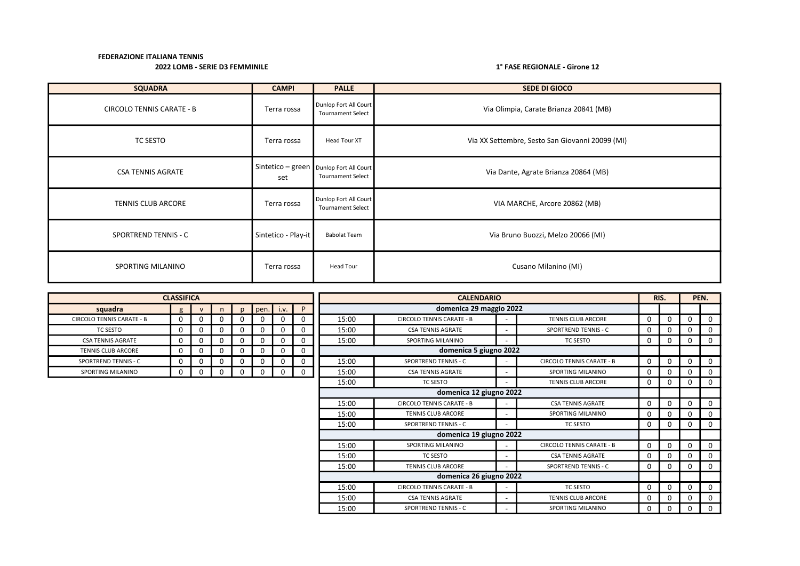| <b>SQUADRA</b>                   | <b>CAMPI</b>        | <b>PALLE</b>                                                            | <b>SEDE DI GIOCO</b>                            |
|----------------------------------|---------------------|-------------------------------------------------------------------------|-------------------------------------------------|
| <b>CIRCOLO TENNIS CARATE - B</b> | Terra rossa         | Dunlop Fort All Court<br><b>Tournament Select</b>                       | Via Olimpia, Carate Brianza 20841 (MB)          |
| TC SESTO                         | Terra rossa         | Head Tour XT                                                            | Via XX Settembre, Sesto San Giovanni 20099 (MI) |
| <b>CSA TENNIS AGRATE</b>         | set                 | Sintetico - green   Dunlop Fort All Court  <br><b>Tournament Select</b> | Via Dante, Agrate Brianza 20864 (MB)            |
| <b>TENNIS CLUB ARCORE</b>        | Terra rossa         | Dunlop Fort All Court<br><b>Tournament Select</b>                       | VIA MARCHE, Arcore 20862 (MB)                   |
| <b>SPORTREND TENNIS - C</b>      | Sintetico - Play-it | <b>Babolat Team</b>                                                     | Via Bruno Buozzi, Melzo 20066 (MI)              |
| SPORTING MILANINO                | Terra rossa         | Head Tour                                                               | Cusano Milanino (MI)                            |

|                                  | <b>CLASSIFICA</b> |              |   |   |             |      |   | <b>CALENDARIO</b> |                                  |                              |                                  | RIS.     |             | PEN.     |          |
|----------------------------------|-------------------|--------------|---|---|-------------|------|---|-------------------|----------------------------------|------------------------------|----------------------------------|----------|-------------|----------|----------|
| squadra                          | g                 | $\mathsf{v}$ | n |   | pen.        | i.v. | P |                   | domenica 29 maggio 2022          |                              |                                  |          |             |          |          |
| <b>CIRCOLO TENNIS CARATE - B</b> | 0                 | 0            | 0 |   | $\mathbf 0$ | 0    | 0 | 15:00             | <b>CIRCOLO TENNIS CARATE - B</b> |                              | <b>TENNIS CLUB ARCORE</b>        | 0        | $\mathbf 0$ | 0        | 0        |
| <b>TC SESTO</b>                  | $\Omega$          | 0            | 0 |   | $\mathbf 0$ | 0    |   | 15:00             | <b>CSA TENNIS AGRATE</b>         |                              | <b>SPORTREND TENNIS - C</b>      | $\Omega$ | 0           |          | $\Omega$ |
| <b>CSA TENNIS AGRATE</b>         |                   | 0            | 0 |   | $\mathbf 0$ | 0    |   | 15:00             | SPORTING MILANINO                |                              | <b>TC SESTO</b>                  | 0        | 0           | 0        | 0        |
| <b>TENNIS CLUB ARCORE</b>        | 0                 | 0            | 0 |   | 0           | 0    | 0 |                   | domenica 5 giugno 2022           |                              |                                  |          |             |          |          |
| SPORTREND TENNIS - C             |                   | 0            | 0 |   | 0           | 0    |   | 15:00             | <b>SPORTREND TENNIS - C</b>      | $\overline{\phantom{a}}$     | <b>CIRCOLO TENNIS CARATE - B</b> | 0        | 0           |          | 0        |
| SPORTING MILANINO                |                   | 0            | 0 | n | 0           | 0    | 0 | 15:00             | <b>CSA TENNIS AGRATE</b>         |                              | SPORTING MILANINO                | 0        | $\Omega$    | $\Omega$ | $\Omega$ |
|                                  |                   |              |   |   |             |      |   | 15:00             | <b>TC SESTO</b>                  | $\qquad \qquad \blacksquare$ | <b>TENNIS CLUB ARCORE</b>        | 0        | 0           | 0        | 0        |
|                                  |                   |              |   |   |             |      |   |                   | domenica 12 giugno 2022          |                              |                                  |          |             |          |          |
|                                  |                   |              |   |   |             |      |   | 15:00             | <b>CIRCOLO TENNIS CARATE - B</b> |                              | <b>CSA TENNIS AGRATE</b>         | 0        | $\Omega$    | $\Omega$ | $\Omega$ |
|                                  |                   |              |   |   |             |      |   | 15:00             | TENNIS CLUB ARCORE               |                              | SPORTING MILANINO                | 0        | 0           |          | $\Omega$ |
|                                  |                   |              |   |   |             |      |   | 15:00             | <b>SPORTREND TENNIS - C</b>      |                              | <b>TC SESTO</b>                  | 0        | $\Omega$    | O        | $\Omega$ |
|                                  |                   |              |   |   |             |      |   |                   | domenica 19 giugno 2022          |                              |                                  |          |             |          |          |
|                                  |                   |              |   |   |             |      |   | 15:00             | SPORTING MILANINO                |                              | <b>CIRCOLO TENNIS CARATE - B</b> | $\Omega$ | $\Omega$    |          | $\Omega$ |
|                                  |                   |              |   |   |             |      |   | 15:00             | <b>TC SESTO</b>                  | $\overline{\phantom{a}}$     | <b>CSA TENNIS AGRATE</b>         | 0        | 0           |          | 0        |
|                                  |                   |              |   |   |             |      |   | 15:00             | TENNIS CLUB ARCORE               |                              | <b>SPORTREND TENNIS - C</b>      | 0        | 0           | O        | 0        |
|                                  |                   |              |   |   |             |      |   |                   | domenica 26 giugno 2022          |                              |                                  |          |             |          |          |
|                                  |                   |              |   |   |             |      |   | 15:00             | <b>CIRCOLO TENNIS CARATE - B</b> | $\overline{\phantom{0}}$     | <b>TC SESTO</b>                  | 0        | 0           | $\Omega$ | 0        |
|                                  |                   |              |   |   |             |      |   | 15:00             | <b>CSA TENNIS AGRATE</b>         | $\overline{\phantom{a}}$     | <b>TENNIS CLUB ARCORE</b>        | 0        | 0           |          | 0        |
|                                  |                   |              |   |   |             |      |   | 15:00             | <b>SPORTREND TENNIS - C</b>      |                              | SPORTING MILANINO                | 0        | 0           | 0        | 0        |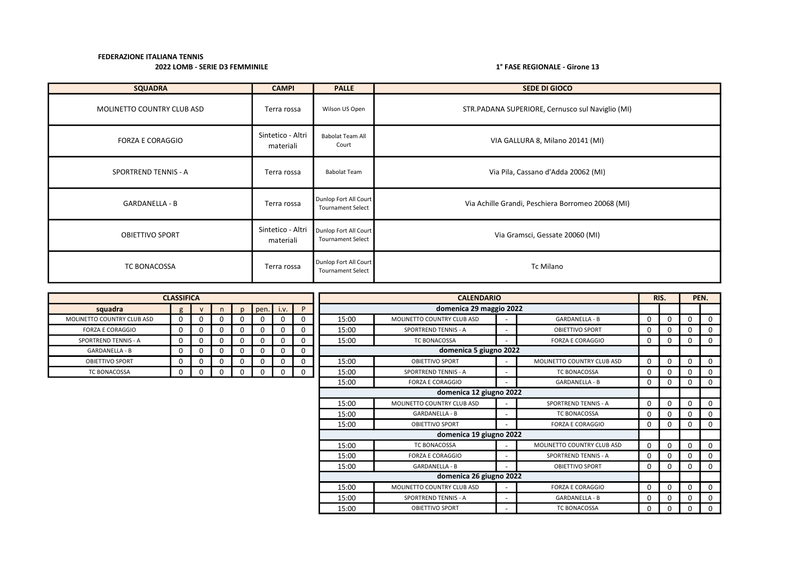| <b>SQUADRA</b>             | <b>CAMPI</b>                   | <b>PALLE</b>                                      | <b>SEDE DI GIOCO</b>                              |
|----------------------------|--------------------------------|---------------------------------------------------|---------------------------------------------------|
| MOLINETTO COUNTRY CLUB ASD | Terra rossa                    | Wilson US Open                                    | STR.PADANA SUPERIORE, Cernusco sul Naviglio (MI)  |
| <b>FORZA E CORAGGIO</b>    | Sintetico - Altri<br>materiali | <b>Babolat Team All</b><br>Court                  | VIA GALLURA 8, Milano 20141 (MI)                  |
| SPORTREND TENNIS - A       | Terra rossa                    | <b>Babolat Team</b>                               | Via Pila, Cassano d'Adda 20062 (MI)               |
| <b>GARDANELLA - B</b>      | Terra rossa                    | Dunlop Fort All Court<br><b>Tournament Select</b> | Via Achille Grandi, Peschiera Borromeo 20068 (MI) |
| <b>OBIETTIVO SPORT</b>     | Sintetico - Altri<br>materiali | Dunlop Fort All Court<br><b>Tournament Select</b> | Via Gramsci, Gessate 20060 (MI)                   |
| TC BONACOSSA               | Terra rossa                    | Dunlop Fort All Court<br><b>Tournament Select</b> | Tc Milano                                         |

|                             | <b>CLASSIFICA</b> |              |          |             |      |          | <b>CALENDARIO</b> |                             |                              |                             |          |             | RIS.     |              |  |  |  |  |  | PEN. |
|-----------------------------|-------------------|--------------|----------|-------------|------|----------|-------------------|-----------------------------|------------------------------|-----------------------------|----------|-------------|----------|--------------|--|--|--|--|--|------|
| squadra                     | g                 | $\mathsf{v}$ | n        | pen.        | i.v. | <b>D</b> |                   | domenica 29 maggio 2022     |                              |                             |          |             |          |              |  |  |  |  |  |      |
| MOLINETTO COUNTRY CLUB ASD  |                   | 0            |          | 0           | 0    |          | 15:00             | MOLINETTO COUNTRY CLUB ASD  |                              | <b>GARDANELLA - B</b>       | 0        | 0           |          | $\Omega$     |  |  |  |  |  |      |
| <b>FORZA E CORAGGIO</b>     | $\Omega$          | 0            | 0        | $\mathbf 0$ | 0    | 0        | 15:00             | SPORTREND TENNIS - A        | $\qquad \qquad \blacksquare$ | OBIETTIVO SPORT             | 0        | $\Omega$    | n        | 0            |  |  |  |  |  |      |
| <b>SPORTREND TENNIS - A</b> | $\Omega$          | 0            | 0        | $\mathbf 0$ | 0    |          | 15:00             | <b>TC BONACOSSA</b>         | $\qquad \qquad \blacksquare$ | <b>FORZA E CORAGGIO</b>     | 0        | 0           | 0        | 0            |  |  |  |  |  |      |
| <b>GARDANELLA - B</b>       | $\Omega$          | $\Omega$     | $\Omega$ | $\mathbf 0$ | 0    | 0        |                   | domenica 5 giugno 2022      |                              |                             |          |             |          |              |  |  |  |  |  |      |
| OBIETTIVO SPORT             |                   | 0            | 0        | $\mathbf 0$ | 0    | 0        | 15:00             | <b>OBIETTIVO SPORT</b>      | $\qquad \qquad \blacksquare$ | MOLINETTO COUNTRY CLUB ASD  | $\Omega$ | $\mathbf 0$ | $\Omega$ | $\Omega$     |  |  |  |  |  |      |
| TC BONACOSSA                |                   | 0            | 0        | 0           | 0    | $\Omega$ | 15:00             | <b>SPORTREND TENNIS - A</b> |                              | <b>TC BONACOSSA</b>         | 0        | 0           | O        | 0            |  |  |  |  |  |      |
|                             |                   |              |          |             |      |          | 15:00             | <b>FORZA E CORAGGIO</b>     |                              | GARDANELLA - B              | 0        | 0           | 0        | 0            |  |  |  |  |  |      |
|                             |                   |              |          |             |      |          |                   | domenica 12 giugno 2022     |                              |                             |          |             |          |              |  |  |  |  |  |      |
|                             |                   |              |          |             |      |          | 15:00             | MOLINETTO COUNTRY CLUB ASD  |                              | <b>SPORTREND TENNIS - A</b> | 0        | $\Omega$    |          | $\Omega$     |  |  |  |  |  |      |
|                             |                   |              |          |             |      |          | 15:00             | <b>GARDANELLA - B</b>       |                              | <b>TC BONACOSSA</b>         | 0        | 0           |          | $\Omega$     |  |  |  |  |  |      |
|                             |                   |              |          |             |      |          | 15:00             | <b>OBIETTIVO SPORT</b>      |                              | <b>FORZA E CORAGGIO</b>     | 0        | 0           | O        | $\Omega$     |  |  |  |  |  |      |
|                             |                   |              |          |             |      |          |                   | domenica 19 giugno 2022     |                              |                             |          |             |          |              |  |  |  |  |  |      |
|                             |                   |              |          |             |      |          | 15:00             | TC BONACOSSA                | $\qquad \qquad \blacksquare$ | MOLINETTO COUNTRY CLUB ASD  | $\Omega$ | $\Omega$    | $\Omega$ | $\Omega$     |  |  |  |  |  |      |
|                             |                   |              |          |             |      |          | 15:00             | <b>FORZA E CORAGGIO</b>     | $\qquad \qquad \blacksquare$ | <b>SPORTREND TENNIS - A</b> | 0        | $\Omega$    | ŋ        | $\Omega$     |  |  |  |  |  |      |
|                             |                   |              |          |             |      |          | 15:00             | <b>GARDANELLA - B</b>       |                              | <b>OBIETTIVO SPORT</b>      | 0        | 0           | O        | $\Omega$     |  |  |  |  |  |      |
|                             |                   |              |          |             |      |          |                   | domenica 26 giugno 2022     |                              |                             |          |             |          |              |  |  |  |  |  |      |
|                             |                   |              |          |             |      |          | 15:00             | MOLINETTO COUNTRY CLUB ASD  |                              | <b>FORZA E CORAGGIO</b>     | $\Omega$ | $\mathbf 0$ | 0        | 0            |  |  |  |  |  |      |
|                             |                   |              |          |             |      |          | 15:00             | <b>SPORTREND TENNIS - A</b> |                              | <b>GARDANELLA - B</b>       | 0        | 0           |          | 0            |  |  |  |  |  |      |
|                             |                   |              |          |             |      |          | 15:00             | <b>OBIETTIVO SPORT</b>      |                              | <b>TC BONACOSSA</b>         | 0        | 0           | 0        | $\mathbf{0}$ |  |  |  |  |  |      |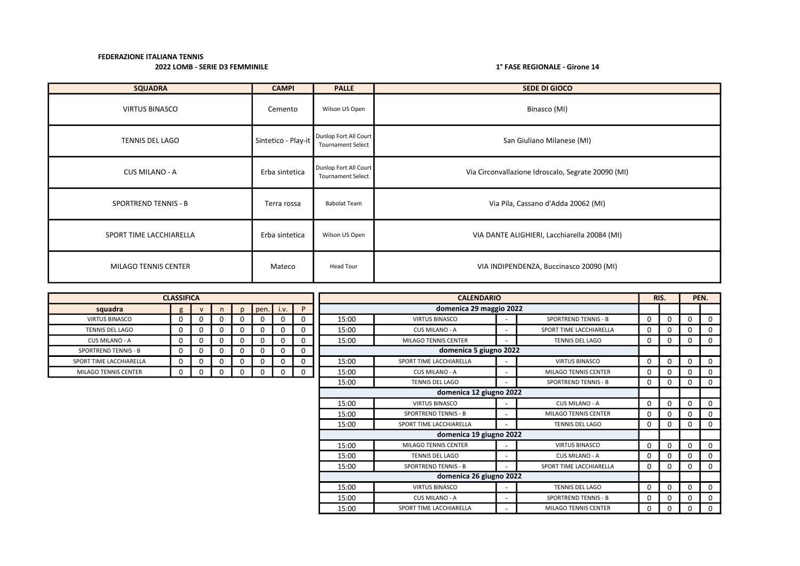| <b>SQUADRA</b>              | <b>CAMPI</b>        | <b>PALLE</b>                                      | <b>SEDE DI GIOCO</b>                               |
|-----------------------------|---------------------|---------------------------------------------------|----------------------------------------------------|
| <b>VIRTUS BINASCO</b>       | Cemento             | Wilson US Open                                    | Binasco (MI)                                       |
| <b>TENNIS DEL LAGO</b>      | Sintetico - Play-it | Dunlop Fort All Court<br><b>Tournament Select</b> | San Giuliano Milanese (MI)                         |
| CUS MILANO - A              | Erba sintetica      | Dunlop Fort All Court<br><b>Tournament Select</b> | Via Circonvallazione Idroscalo, Segrate 20090 (MI) |
| <b>SPORTREND TENNIS - B</b> | Terra rossa         | <b>Babolat Team</b>                               | Via Pila, Cassano d'Adda 20062 (MI)                |
| SPORT TIME LACCHIARELLA     | Erba sintetica      | Wilson US Open                                    | VIA DANTE ALIGHIERI, Lacchiarella 20084 (MI)       |
| MILAGO TENNIS CENTER        | Mateco              | Head Tour                                         | VIA INDIPENDENZA, Buccinasco 20090 (MI)            |

|                             | <b>CLASSIFICA</b> |              |   |              |             |   |          |       |                             | RIS.                     |                             | PEN.     |          |             |              |
|-----------------------------|-------------------|--------------|---|--------------|-------------|---|----------|-------|-----------------------------|--------------------------|-----------------------------|----------|----------|-------------|--------------|
| squadra                     | g                 | $\mathsf{V}$ | n | $\mathbf{D}$ | $pen.$ i.v. |   | P        |       | domenica 29 maggio 2022     |                          |                             |          |          |             |              |
| <b>VIRTUS BINASCO</b>       | $\Omega$          | $\Omega$     |   | 0            | 0           | 0 | $\Omega$ | 15:00 | <b>VIRTUS BINASCO</b>       |                          | <b>SPORTREND TENNIS - B</b> | $\Omega$ | 0        | $\mathbf 0$ | $\Omega$     |
| <b>TENNIS DEL LAGO</b>      | $\Omega$          | $\Omega$     |   | 0            | 0           | 0 | $\Omega$ | 15:00 | CUS MILANO - A              | $\overline{\phantom{a}}$ | SPORT TIME LACCHIARELLA     | 0        | 0        | $\Omega$    | 0            |
| CUS MILANO - A              | $\Omega$          | $\Omega$     | 0 | $\Omega$     | 0           | 0 | $\Omega$ | 15:00 | MILAGO TENNIS CENTER        | $\overline{\phantom{0}}$ | <b>TENNIS DEL LAGO</b>      | $\Omega$ | 0        | $\Omega$    | 0            |
| <b>SPORTREND TENNIS - B</b> | 0                 | 0            |   |              | 0           |   | 0        |       | domenica 5 giugno 2022      |                          |                             |          |          |             |              |
| SPORT TIME LACCHIARELLA     | 0                 | 0            |   |              | 0           |   | 0        | 15:00 | SPORT TIME LACCHIARELLA     | $\overline{\phantom{a}}$ | <b>VIRTUS BINASCO</b>       | 0        | 0        | $\Omega$    | 0            |
| MILAGO TENNIS CENTER        | 0                 | 0            | 0 |              | 0           | 0 | $\Omega$ | 15:00 | CUS MILANO - A              | $\overline{\phantom{0}}$ | MILAGO TENNIS CENTER        | 0        | 0        | $\Omega$    | 0            |
|                             |                   |              |   |              |             |   |          | 15:00 | <b>TENNIS DEL LAGO</b>      | $\overline{\phantom{a}}$ | <b>SPORTREND TENNIS - B</b> | 0        | 0        | $\Omega$    | 0            |
|                             |                   |              |   |              |             |   |          |       | domenica 12 giugno 2022     |                          |                             |          |          |             |              |
|                             |                   |              |   |              |             |   |          | 15:00 | <b>VIRTUS BINASCO</b>       | $\overline{\phantom{a}}$ | CUS MILANO - A              | $\Omega$ | 0        | $\Omega$    | $\mathbf{0}$ |
|                             |                   |              |   |              |             |   |          | 15:00 | <b>SPORTREND TENNIS - B</b> | $\overline{\phantom{a}}$ | <b>MILAGO TENNIS CENTER</b> | $\Omega$ | 0        | $\Omega$    | 0            |
|                             |                   |              |   |              |             |   |          | 15:00 | SPORT TIME LACCHIARELLA     | $\overline{a}$           | <b>TENNIS DEL LAGO</b>      | $\Omega$ | 0        | $\Omega$    | $\mathbf{0}$ |
|                             |                   |              |   |              |             |   |          |       | domenica 19 giugno 2022     |                          |                             |          |          |             |              |
|                             |                   |              |   |              |             |   |          | 15:00 | MILAGO TENNIS CENTER        | $\overline{\phantom{a}}$ | <b>VIRTUS BINASCO</b>       | 0        | $\Omega$ | $\Omega$    | 0            |
|                             |                   |              |   |              |             |   |          | 15:00 | <b>TENNIS DEL LAGO</b>      | $\overline{\phantom{a}}$ | CUS MILANO - A              | O        | 0        | $\Omega$    | 0            |
|                             |                   |              |   |              |             |   |          | 15:00 | <b>SPORTREND TENNIS - B</b> | $\overline{\phantom{0}}$ | SPORT TIME LACCHIARELLA     | 0        | 0        | $\Omega$    | $\mathbf{0}$ |
|                             |                   |              |   |              |             |   |          |       | domenica 26 giugno 2022     |                          |                             |          |          |             |              |
|                             |                   |              |   |              |             |   |          | 15:00 | <b>VIRTUS BINASCO</b>       | $\overline{\phantom{a}}$ | <b>TENNIS DEL LAGO</b>      | $\Omega$ | 0        | $\mathbf 0$ | 0            |
|                             |                   |              |   |              |             |   |          | 15:00 | CUS MILANO - A              | $\overline{\phantom{a}}$ | <b>SPORTREND TENNIS - B</b> | 0        | 0        | 0           | 0            |
|                             |                   |              |   |              |             |   |          | 15:00 | SPORT TIME LACCHIARELLA     |                          | <b>MILAGO TENNIS CENTER</b> | 0        | 0        | 0           | 0            |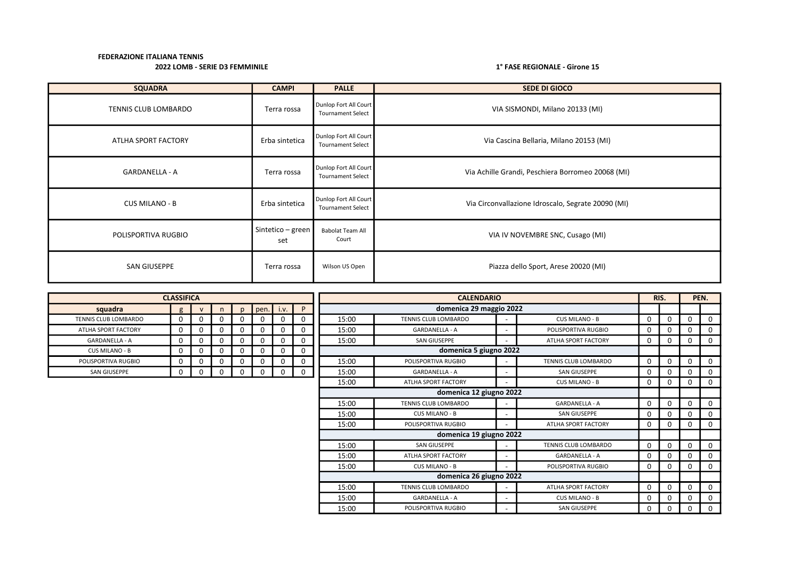| <b>SQUADRA</b>        | <b>CAMPI</b>             | <b>PALLE</b>                                      | <b>SEDE DI GIOCO</b>                               |
|-----------------------|--------------------------|---------------------------------------------------|----------------------------------------------------|
| TENNIS CLUB LOMBARDO  | Terra rossa              | Dunlop Fort All Court<br><b>Tournament Select</b> | VIA SISMONDI, Milano 20133 (MI)                    |
| ATLHA SPORT FACTORY   | Erba sintetica           | Dunlop Fort All Court<br><b>Tournament Select</b> | Via Cascina Bellaria, Milano 20153 (MI)            |
| <b>GARDANELLA - A</b> | Terra rossa              | Dunlop Fort All Court<br><b>Tournament Select</b> | Via Achille Grandi, Peschiera Borromeo 20068 (MI)  |
| <b>CUS MILANO - B</b> | Erba sintetica           | Dunlop Fort All Court<br><b>Tournament Select</b> | Via Circonvallazione Idroscalo, Segrate 20090 (MI) |
| POLISPORTIVA RUGBIO   | Sintetico – green<br>set | <b>Babolat Team All</b><br>Court                  | VIA IV NOVEMBRE SNC, Cusago (MI)                   |
| SAN GIUSEPPE          | Terra rossa              | Wilson US Open                                    | Piazza dello Sport, Arese 20020 (MI)               |

|                       | <b>CLASSIFICA</b> |              |          |              |      |              |   | <b>CALENDARIO</b> |                         |  |                             |          |          |          | PEN. |
|-----------------------|-------------------|--------------|----------|--------------|------|--------------|---|-------------------|-------------------------|--|-----------------------------|----------|----------|----------|------|
| squadra               | g                 | $\mathsf{v}$ | n        | $\mathsf{D}$ | pen. | i.v.         | P |                   | domenica 29 maggio 2022 |  |                             |          |          |          |      |
| TENNIS CLUB LOMBARDO  | 0                 | ŋ            | O        |              | 0    |              | 0 | 15:00             | TENNIS CLUB LOMBARDO    |  | CUS MILANO - B              | $\Omega$ | 0        | $\Omega$ |      |
| ATLHA SPORT FACTORY   | 0                 | 0            | $\Omega$ | 0            | 0    | ŋ            | 0 | 15:00             | GARDANELLA - A          |  | POLISPORTIVA RUGBIO         | $\Omega$ | 0        | 0        |      |
| <b>GARDANELLA - A</b> | 0                 | 0            | 0        | 0            | 0    | $\mathbf{0}$ | 0 | 15:00             | <b>SAN GIUSEPPE</b>     |  | ATLHA SPORT FACTORY         | 0        | 0        | 0        |      |
| CUS MILANO - B        | 0                 | 0            | $\Omega$ |              | 0    | $\Omega$     | 0 |                   | domenica 5 giugno 2022  |  |                             |          |          |          |      |
| POLISPORTIVA RUGBIO   | 0                 | 0            | O        |              | 0    | $\Omega$     | 0 | 15:00             | POLISPORTIVA RUGBIO     |  | <b>TENNIS CLUB LOMBARDO</b> | 0        | 0        | 0        |      |
| SAN GIUSEPPE          | 0                 | 0            | $\Omega$ |              | 0    | $\Omega$     | 0 | 15:00             | GARDANELLA - A          |  | SAN GIUSEPPE                | 0        | 0        | 0        |      |
|                       |                   |              |          |              |      |              |   | 15:00             | ATLHA SPORT FACTORY     |  | CUS MILANO - B              | 0        | 0        | $\Omega$ |      |
|                       |                   |              |          |              |      |              |   |                   | domenica 12 giugno 2022 |  |                             |          |          |          |      |
|                       |                   |              |          |              |      |              |   | 15:00             | TENNIS CLUB LOMBARDO    |  | <b>GARDANELLA - A</b>       | $\Omega$ | 0        | 0        |      |
|                       |                   |              |          |              |      |              |   | 15:00             | CUS MILANO - B          |  | <b>SAN GIUSEPPE</b>         | O        | 0        | $\Omega$ |      |
|                       |                   |              |          |              |      |              |   | 15:00             | POLISPORTIVA RUGBIO     |  | ATLHA SPORT FACTORY         | 0        | $\Omega$ | $\Omega$ |      |
|                       |                   |              |          |              |      |              |   |                   | domenica 19 giugno 2022 |  |                             |          |          |          |      |
|                       |                   |              |          |              |      |              |   | 15:00             | <b>SAN GIUSEPPE</b>     |  | TENNIS CLUB LOMBARDO        | $\Omega$ | $\Omega$ | 0        |      |
|                       |                   |              |          |              |      |              |   | 15:00             | ATLHA SPORT FACTORY     |  | <b>GARDANELLA - A</b>       | 0        | 0        | 0        |      |
|                       |                   |              |          |              |      |              |   | 15:00             | <b>CUS MILANO - B</b>   |  | POLISPORTIVA RUGBIO         | 0        | 0        | 0        |      |
|                       |                   |              |          |              |      |              |   |                   | domenica 26 giugno 2022 |  |                             |          |          |          |      |
|                       |                   |              |          |              |      |              |   | 15:00             | TENNIS CLUB LOMBARDO    |  | ATLHA SPORT FACTORY         | 0        | 0        | 0        | 0    |
|                       |                   |              |          |              |      |              |   | 15:00             | GARDANELLA - A          |  | CUS MILANO - B              | O        | 0        | 0        |      |
|                       |                   |              |          |              |      |              |   | 15:00             | POLISPORTIVA RUGBIO     |  | <b>SAN GIUSEPPE</b>         | 0        | 0        | 0        |      |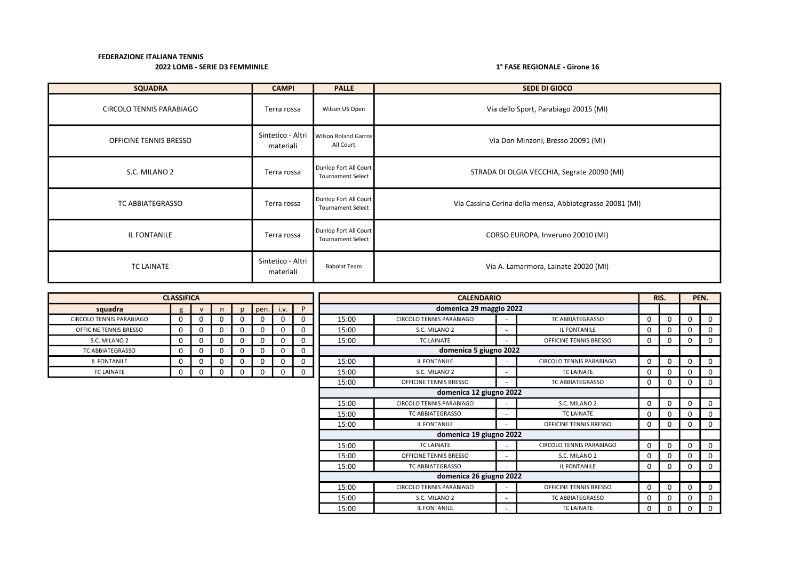| <b>SQUADRA</b>                  | <b>CAMPI</b>                   | <b>PALLE</b>                                      | <b>SEDE DI GIOCO</b>                                     |
|---------------------------------|--------------------------------|---------------------------------------------------|----------------------------------------------------------|
| <b>CIRCOLO TENNIS PARABIAGO</b> | Terra rossa                    | Wilson US Open                                    | Via dello Sport, Parabiago 20015 (MI)                    |
| OFFICINE TENNIS BRESSO          | Sintetico - Altri<br>materiali | <b>Wilson Roland Garros</b><br>All Court          | Via Don Minzoni, Bresso 20091 (MI)                       |
| S.C. MILANO 2                   | Terra rossa                    | Dunlop Fort All Court<br><b>Tournament Select</b> | STRADA DI OLGIA VECCHIA, Segrate 20090 (MI)              |
| TC ABBIATEGRASSO                | Terra rossa                    | Dunlop Fort All Court<br><b>Tournament Select</b> | Via Cassina Cerina della mensa, Abbiategrasso 20081 (MI) |
| IL FONTANILE                    | Terra rossa                    | Dunlop Fort All Court<br><b>Tournament Select</b> | CORSO EUROPA, Inveruno 20010 (MI)                        |
| <b>TC LAINATE</b>               | Sintetico - Altri<br>materiali | <b>Babolat Team</b>                               | Via A. Lamarmora, Lainate 20020 (MI)                     |

|                                 | <b>CLASSIFICA</b> |              |   |              |      |      |             | <b>CALENDARIO</b> |                                 |                          |                                 |              |   |             | PEN.         |
|---------------------------------|-------------------|--------------|---|--------------|------|------|-------------|-------------------|---------------------------------|--------------------------|---------------------------------|--------------|---|-------------|--------------|
| squadra                         | g                 | $\mathsf{v}$ | n | $\mathbf{D}$ | pen. | i.v. | P           |                   | domenica 29 maggio 2022         |                          |                                 |              |   |             |              |
| <b>CIRCOLO TENNIS PARABIAGO</b> | 0                 | 0            | 0 |              |      | 0    | 0           | 15:00             | <b>CIRCOLO TENNIS PARABIAGO</b> |                          | <b>TC ABBIATEGRASSO</b>         | 0            | 0 | 0           |              |
| OFFICINE TENNIS BRESSO          | 0                 | 0            | 0 |              | 0    | 0    | 0           | 15:00             | S.C. MILANO 2                   |                          | <b>IL FONTANILE</b>             | 0            | 0 | 0           |              |
| S.C. MILANO 2                   | $\Omega$          | 0            | 0 |              | 0    | 0    | $\mathbf 0$ | 15:00             | <b>TC LAINATE</b>               |                          | OFFICINE TENNIS BRESSO          | 0            | 0 | 0           |              |
| TC ABBIATEGRASSO                | $\Omega$          | 0            | 0 |              |      | 0    | 0           |                   | domenica 5 giugno 2022          |                          |                                 |              |   |             |              |
| IL FONTANILE                    | 0                 | 0            | 0 |              |      | 0    | 0           | 15:00             | IL FONTANILE                    |                          | <b>CIRCOLO TENNIS PARABIAGO</b> | 0            | 0 | 0           |              |
| TC LAINATE                      | 0                 | 0            | 0 |              |      | 0    | $\mathbf 0$ | 15:00             | S.C. MILANO 2                   |                          | <b>TC LAINATE</b>               | 0            | 0 | 0           |              |
|                                 |                   |              |   |              |      |      |             | 15:00             | OFFICINE TENNIS BRESSO          |                          | TC ABBIATEGRASSO                | 0            | 0 | 0           |              |
|                                 |                   |              |   |              |      |      |             |                   | domenica 12 giugno 2022         |                          |                                 |              |   |             |              |
|                                 |                   |              |   |              |      |      |             | 15:00             | CIRCOLO TENNIS PARABIAGO        |                          | S.C. MILANO 2                   | 0            | 0 | $\Omega$    | <sup>n</sup> |
|                                 |                   |              |   |              |      |      |             | 15:00             | TC ABBIATEGRASSO                |                          | <b>TC LAINATE</b>               | 0            |   | 0           |              |
|                                 |                   |              |   |              |      |      |             | 15:00             | IL FONTANILE                    |                          | OFFICINE TENNIS BRESSO          | 0            | 0 | 0           |              |
|                                 |                   |              |   |              |      |      |             |                   | domenica 19 giugno 2022         |                          |                                 |              |   |             |              |
|                                 |                   |              |   |              |      |      |             | 15:00             | <b>TC LAINATE</b>               | $\overline{\phantom{0}}$ | <b>CIRCOLO TENNIS PARABIAGO</b> | 0            | 0 | $\mathbf 0$ |              |
|                                 |                   |              |   |              |      |      |             | 15:00             | OFFICINE TENNIS BRESSO          |                          | S.C. MILANO 2                   | 0            | 0 | 0           |              |
|                                 |                   |              |   |              |      |      |             | 15:00             | TC ABBIATEGRASSO                |                          | <b>IL FONTANILE</b>             | 0            | 0 | 0           |              |
|                                 |                   |              |   |              |      |      |             |                   | domenica 26 giugno 2022         |                          |                                 |              |   |             |              |
|                                 |                   |              |   |              |      |      |             | 15:00             | <b>CIRCOLO TENNIS PARABIAGO</b> |                          | OFFICINE TENNIS BRESSO          | $\mathbf{0}$ | 0 | 0           | $\Omega$     |
|                                 |                   |              |   |              |      |      |             | 15:00             | S.C. MILANO 2                   |                          | <b>TC ABBIATEGRASSO</b>         | 0            | 0 | 0           |              |
|                                 |                   |              |   |              |      |      |             | 15:00             | IL FONTANILE                    |                          | <b>TC LAINATE</b>               | 0            | 0 | 0           |              |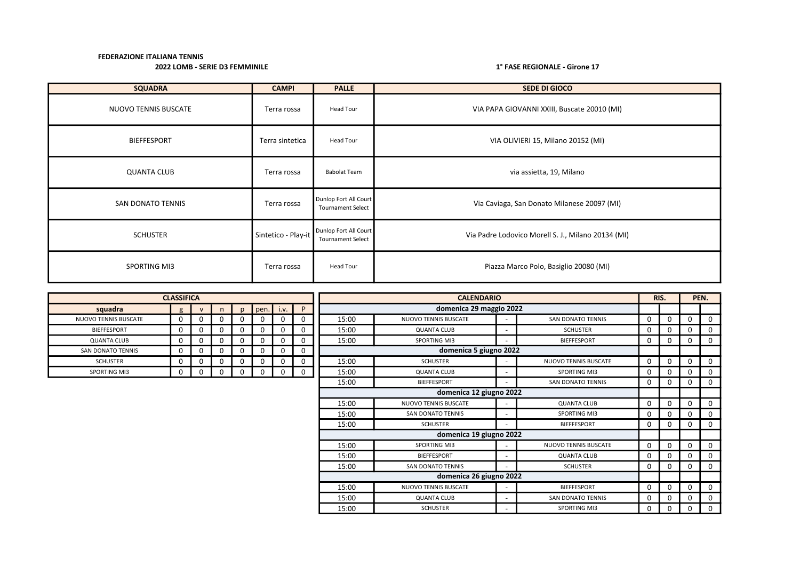| <b>SQUADRA</b>              | <b>CAMPI</b>        | <b>PALLE</b>                                      | <b>SEDE DI GIOCO</b>                               |
|-----------------------------|---------------------|---------------------------------------------------|----------------------------------------------------|
| <b>NUOVO TENNIS BUSCATE</b> | Terra rossa         | Head Tour                                         | VIA PAPA GIOVANNI XXIII, Buscate 20010 (MI)        |
| <b>BIEFFESPORT</b>          | Terra sintetica     | Head Tour                                         | VIA OLIVIERI 15, Milano 20152 (MI)                 |
| <b>QUANTA CLUB</b>          | Terra rossa         | <b>Babolat Team</b>                               | via assietta, 19, Milano                           |
| SAN DONATO TENNIS           | Terra rossa         | Dunlop Fort All Court<br><b>Tournament Select</b> | Via Caviaga, San Donato Milanese 20097 (MI)        |
| <b>SCHUSTER</b>             | Sintetico - Play-it | Dunlop Fort All Court<br><b>Tournament Select</b> | Via Padre Lodovico Morell S. J., Milano 20134 (MI) |
| SPORTING MI3                | Terra rossa         | <b>Head Tour</b>                                  | Piazza Marco Polo, Basiglio 20080 (MI)             |

|                          | <b>CLASSIFICA</b> |              |          |    |      |          |          |       | <b>CALENDARIO</b>           |                          |                             |             |          |             | PEN.         |
|--------------------------|-------------------|--------------|----------|----|------|----------|----------|-------|-----------------------------|--------------------------|-----------------------------|-------------|----------|-------------|--------------|
| squadra                  | $\mathfrak{g}$    | $\mathsf{v}$ | n        | D. | pen. | i.v.     | P        |       | domenica 29 maggio 2022     |                          |                             |             |          |             |              |
| NUOVO TENNIS BUSCATE     |                   | 0            | 0        | 0  |      | O        | 0        | 15:00 | NUOVO TENNIS BUSCATE        |                          | <b>SAN DONATO TENNIS</b>    | $\Omega$    | 0        | $\Omega$    | $\Omega$     |
| <b>BIEFFESPORT</b>       | U                 | $\mathbf 0$  | $\Omega$ | 0  | 0    | $\Omega$ | 0        | 15:00 | <b>QUANTA CLUB</b>          | $\overline{\phantom{a}}$ | <b>SCHUSTER</b>             | $\Omega$    | 0        | $\mathbf 0$ | $\mathbf{0}$ |
| <b>QUANTA CLUB</b>       | 0                 | $\mathbf 0$  | 0        | 0  | 0    | $\Omega$ | 0        | 15:00 | <b>SPORTING MI3</b>         | $\overline{\phantom{a}}$ | <b>BIEFFESPORT</b>          | 0           | 0        | $\mathbf 0$ | 0            |
| <b>SAN DONATO TENNIS</b> | 0                 | 0            | 0        | 0  | 0    | 0        | 0        |       | domenica 5 giugno 2022      |                          |                             |             |          |             |              |
| <b>SCHUSTER</b>          |                   | 0            | 0        | 0  | 0    | 0        | 0        | 15:00 | <b>SCHUSTER</b>             |                          | <b>NUOVO TENNIS BUSCATE</b> | 0           | $\Omega$ | $\Omega$    | $\Omega$     |
| <b>SPORTING MI3</b>      |                   | 0            | 0        | 0  | 0    | $\Omega$ | $\Omega$ | 15:00 | <b>QUANTA CLUB</b>          | $\overline{\phantom{a}}$ | <b>SPORTING MI3</b>         | $\mathbf 0$ | 0        | $\Omega$    | $\Omega$     |
|                          |                   |              |          |    |      |          |          | 15:00 | <b>BIEFFESPORT</b>          | $\overline{\phantom{a}}$ | <b>SAN DONATO TENNIS</b>    | $\Omega$    | 0        | $\Omega$    | $\Omega$     |
| domenica 12 giugno 2022  |                   |              |          |    |      |          |          |       |                             |                          |                             |             |          |             |              |
|                          |                   |              |          |    |      |          |          | 15:00 | NUOVO TENNIS BUSCATE        | $\overline{\phantom{a}}$ | <b>QUANTA CLUB</b>          | 0           | $\Omega$ | $\mathbf 0$ | $\Omega$     |
|                          |                   |              |          |    |      |          |          | 15:00 | SAN DONATO TENNIS           | $\overline{\phantom{a}}$ | <b>SPORTING MI3</b>         | 0           | 0        | 0           | $\Omega$     |
|                          |                   |              |          |    |      |          |          | 15:00 | <b>SCHUSTER</b>             |                          | <b>BIEFFESPORT</b>          | 0           | $\Omega$ | $\mathbf 0$ | $\Omega$     |
|                          |                   |              |          |    |      |          |          |       | domenica 19 giugno 2022     |                          |                             |             |          |             |              |
|                          |                   |              |          |    |      |          |          | 15:00 | <b>SPORTING MI3</b>         | $\overline{\phantom{a}}$ | <b>NUOVO TENNIS BUSCATE</b> | $\mathbf 0$ | $\Omega$ | $\mathbf 0$ | 0            |
|                          |                   |              |          |    |      |          |          | 15:00 | <b>BIEFFESPORT</b>          | $\overline{\phantom{a}}$ | <b>QUANTA CLUB</b>          | 0           | 0        | $\mathbf 0$ | $\Omega$     |
|                          |                   |              |          |    |      |          |          | 15:00 | <b>SAN DONATO TENNIS</b>    | $\overline{\phantom{a}}$ | <b>SCHUSTER</b>             | 0           | 0        | $\Omega$    | $\Omega$     |
|                          |                   |              |          |    |      |          |          |       | domenica 26 giugno 2022     |                          |                             |             |          |             |              |
|                          |                   |              |          |    |      |          |          | 15:00 | <b>NUOVO TENNIS BUSCATE</b> | $\overline{\phantom{a}}$ | <b>BIEFFESPORT</b>          | $\mathbf 0$ | 0        | $\mathbf 0$ | $\Omega$     |
|                          |                   |              |          |    |      |          |          | 15:00 | <b>QUANTA CLUB</b>          | $\overline{\phantom{a}}$ | <b>SAN DONATO TENNIS</b>    | $\Omega$    | $\Omega$ | 0           | 0            |
|                          |                   |              |          |    |      |          |          | 15:00 | <b>SCHUSTER</b>             |                          | SPORTING MI3                | 0           | 0        | 0           | 0            |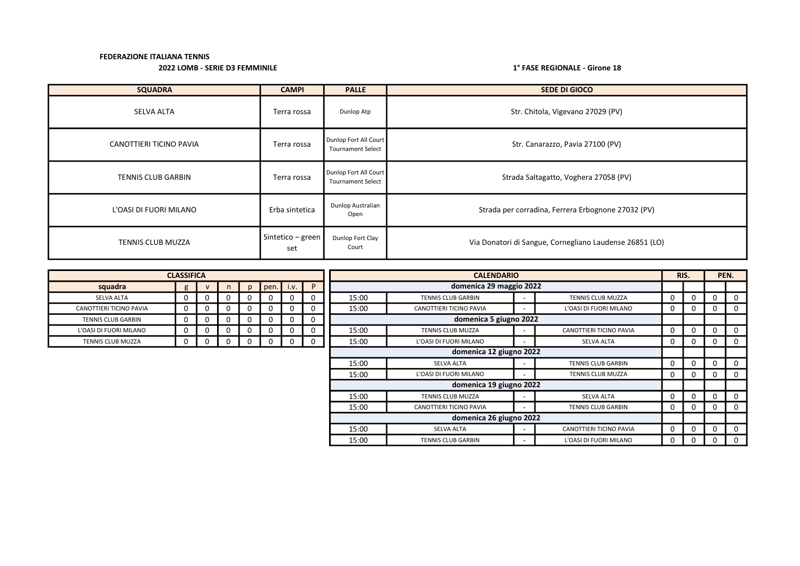# 2022 LOMB - SERIE D3 FEMMINILE 1° FASE REGIONALE - Girone 18

| <b>SQUADRA</b>            | <b>CAMPI</b>             | <b>PALLE</b>                                      | <b>SEDE DI GIOCO</b>                                    |
|---------------------------|--------------------------|---------------------------------------------------|---------------------------------------------------------|
| <b>SELVA ALTA</b>         | Terra rossa              | Dunlop Atp                                        | Str. Chitola, Vigevano 27029 (PV)                       |
| CANOTTIERI TICINO PAVIA   | Terra rossa              | Dunlop Fort All Court<br><b>Tournament Select</b> | Str. Canarazzo, Pavia 27100 (PV)                        |
| <b>TENNIS CLUB GARBIN</b> | Terra rossa              | Dunlop Fort All Court<br><b>Tournament Select</b> | Strada Saltagatto, Voghera 27058 (PV)                   |
| L'OASI DI FUORI MILANO    | Erba sintetica           | Dunlop Australian<br>Open                         | Strada per corradina, Ferrera Erbognone 27032 (PV)      |
| <b>TENNIS CLUB MUZZA</b>  | Sintetico – green<br>set | Dunlop Fort Clay<br>Court                         | Via Donatori di Sangue, Cornegliano Laudense 26851 (LO) |

|                           | <b>CLASSIFICA</b> |    |              |              |              |          |   | <b>CALENDARIO</b>                                     |                           |  |                           |              | RIS. | PEN.     |
|---------------------------|-------------------|----|--------------|--------------|--------------|----------|---|-------------------------------------------------------|---------------------------|--|---------------------------|--------------|------|----------|
| squadra                   | g                 |    | n            | <sub>D</sub> | pen.         | I.V.     | P |                                                       | domenica 29 maggio 2022   |  |                           |              |      |          |
| <b>SELVA ALTA</b>         | 0                 | 0  | 0            | 0            | 0            | 0        | 0 | 15:00                                                 | <b>TENNIS CLUB GARBIN</b> |  | TENNIS CLUB MUZZA         | 0            | 0    |          |
| CANOTTIERI TICINO PAVIA   | 0                 |    | 0            | 0            |              | 0        | 0 | 15:00                                                 | CANOTTIERI TICINO PAVIA   |  | L'OASI DI FUORI MILANO    | 0            |      | 0        |
| <b>TENNIS CLUB GARBIN</b> | Ü                 | -0 | $\mathbf{r}$ | 0            |              | 0        | 0 |                                                       | domenica 5 giugno 2022    |  |                           |              |      |          |
| L'OASI DI FUORI MILANO    | 0.                | -0 | 0            | 0            | 0            | O        | 0 | 15:00                                                 | <b>TENNIS CLUB MUZZA</b>  |  | CANOTTIERI TICINO PAVIA   | 0            | 0    |          |
| TENNIS CLUB MUZZA         | U                 | 0  | 0            | $\Omega$     | <sup>0</sup> | $\Omega$ | 0 | 15:00                                                 | L'OASI DI FUORI MILANO    |  | SELVA ALTA                | 0            | 0    | $\Omega$ |
|                           |                   |    |              |              |              |          |   |                                                       | domenica 12 giugno 2022   |  |                           |              |      |          |
|                           |                   |    |              |              |              |          |   | 15:00                                                 | SELVA ALTA                |  | <b>TENNIS CLUB GARBIN</b> | 0            |      |          |
|                           |                   |    |              |              |              |          |   | 15:00                                                 | L'OASI DI FUORI MILANO    |  | TENNIS CLUB MUZZA         | 0            | 0    |          |
|                           |                   |    |              |              |              |          |   |                                                       | domenica 19 giugno 2022   |  |                           |              |      |          |
|                           |                   |    |              |              |              |          |   | 15:00                                                 | <b>TENNIS CLUB MUZZA</b>  |  | SELVA ALTA                | 0            |      |          |
|                           |                   |    |              |              |              |          |   | 15:00                                                 | CANOTTIERI TICINO PAVIA   |  | <b>TENNIS CLUB GARBIN</b> | 0            | 0    |          |
|                           |                   |    |              |              |              |          |   |                                                       | domenica 26 giugno 2022   |  |                           |              |      |          |
|                           |                   |    |              |              |              |          |   | 15:00<br><b>SELVA ALTA</b><br>CANOTTIERI TICINO PAVIA |                           |  |                           | 0            |      |          |
|                           |                   |    |              |              |              |          |   | 15:00                                                 | <b>TENNIS CLUB GARBIN</b> |  | L'OASI DI FUORI MILANO    | $\mathbf{0}$ |      | 0        |

| <b>CLASSIFICA</b>         |   |   |   |   |      |      |   |  |  |  |  |  |
|---------------------------|---|---|---|---|------|------|---|--|--|--|--|--|
| squadra                   | g | v | n | p | pen. | i.v. | P |  |  |  |  |  |
| <b>SELVA ALTA</b>         | 0 | 0 | 0 | 0 | O    | 0    | 0 |  |  |  |  |  |
| CANOTTIERI TICINO PAVIA   | 0 | 0 | 0 | 0 | 0    | 0    | ი |  |  |  |  |  |
| <b>TENNIS CLUB GARBIN</b> | 0 | 0 | 0 | 0 | O    | 0    | 0 |  |  |  |  |  |
| L'OASI DI FUORI MILANO    | 0 | 0 | 0 | 0 | Ω    | 0    | 0 |  |  |  |  |  |
| <b>TENNIS CLUB MUZZA</b>  |   | n |   |   |      |      | O |  |  |  |  |  |

г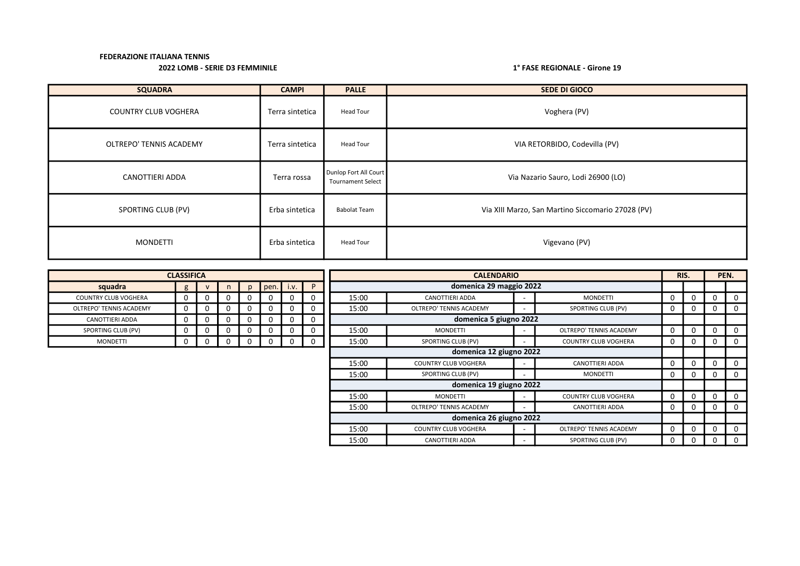| <b>SQUADRA</b>              | <b>CAMPI</b>    | <b>PALLE</b>                                      | <b>SEDE DI GIOCO</b>                              |
|-----------------------------|-----------------|---------------------------------------------------|---------------------------------------------------|
| <b>COUNTRY CLUB VOGHERA</b> | Terra sintetica | Head Tour                                         | Voghera (PV)                                      |
| OLTREPO' TENNIS ACADEMY     | Terra sintetica | Head Tour                                         | VIA RETORBIDO, Codevilla (PV)                     |
| CANOTTIERI ADDA             | Terra rossa     | Dunlop Fort All Court<br><b>Tournament Select</b> | Via Nazario Sauro, Lodi 26900 (LO)                |
| SPORTING CLUB (PV)          | Erba sintetica  | <b>Babolat Team</b>                               | Via XIII Marzo, San Martino Siccomario 27028 (PV) |
| <b>MONDETTI</b>             | Erba sintetica  | Head Tour                                         | Vigevano (PV)                                     |

|                             | <b>CLASSIFICA</b> |          |    |          |             |          |                |       | <b>CALENDARIO</b>           |   |                             |              | RIS. | PEN. |          |
|-----------------------------|-------------------|----------|----|----------|-------------|----------|----------------|-------|-----------------------------|---|-----------------------------|--------------|------|------|----------|
| squadra                     | g                 |          | n. |          | $pen.$ i.v. |          | P              |       | domenica 29 maggio 2022     |   |                             |              |      |      |          |
| <b>COUNTRY CLUB VOGHERA</b> | 0                 | 0        |    | 0        | U           | 0        | 0              | 15:00 | <b>CANOTTIERI ADDA</b>      |   | <b>MONDETTI</b>             | 0            | 0    | 0    | 0        |
| OLTREPO' TENNIS ACADEMY     | 0                 | 0        |    | 0        |             | 0        | 0              | 15:00 | OLTREPO' TENNIS ACADEMY     |   | SPORTING CLUB (PV)          | 0            | 0    | 0    | $\Omega$ |
| <b>CANOTTIERI ADDA</b>      | 0                 | 0        |    | 0        |             | 0        | $\Omega$       |       | domenica 5 giugno 2022      |   |                             |              |      |      |          |
| SPORTING CLUB (PV)          | 0                 | $\Omega$ |    | 0        | J.          | 0        | 0              | 15:00 | <b>MONDETTI</b>             |   | OLTREPO' TENNIS ACADEMY     | <sup>0</sup> | 0    |      | 0        |
| <b>MONDETTI</b>             | 0                 | 0        | ., | $\Omega$ | $\Omega$    | $\Omega$ | $\overline{0}$ | 15:00 | SPORTING CLUB (PV)          |   | <b>COUNTRY CLUB VOGHERA</b> | 0            | 0    | 0    | $\Omega$ |
|                             |                   |          |    |          |             |          |                |       | domenica 12 giugno 2022     |   |                             |              |      |      |          |
|                             |                   |          |    |          |             |          |                | 15:00 | <b>COUNTRY CLUB VOGHERA</b> |   | CANOTTIERI ADDA             | 0            | 0    |      | 0        |
|                             |                   |          |    |          |             |          |                | 15:00 | SPORTING CLUB (PV)          |   | <b>MONDETTI</b>             | 0            | 0    | 0    | $\Omega$ |
|                             |                   |          |    |          |             |          |                |       | domenica 19 giugno 2022     |   |                             |              |      |      |          |
|                             |                   |          |    |          |             |          |                | 15:00 | <b>MONDETTI</b>             |   | <b>COUNTRY CLUB VOGHERA</b> | 0            | 0    |      | 0        |
|                             |                   |          |    |          |             |          |                | 15:00 | OLTREPO' TENNIS ACADEMY     |   | CANOTTIERI ADDA             | 0            | 0    | 0    | $\Omega$ |
|                             |                   |          |    |          |             |          |                |       | domenica 26 giugno 2022     |   |                             |              |      |      |          |
|                             |                   |          |    |          |             |          |                | 15:00 | <b>COUNTRY CLUB VOGHERA</b> |   | OLTREPO' TENNIS ACADEMY     | 0            | 0    |      | $\Omega$ |
|                             |                   |          |    |          |             |          |                | 15:00 | CANOTTIERI ADDA             | - | SPORTING CLUB (PV)          | 0            | 0    |      | 0        |

| <b>CLASSIFICA</b>           |   |   |   |   |      |      |   |  |  |  |  |  |  |
|-----------------------------|---|---|---|---|------|------|---|--|--|--|--|--|--|
| squadra                     | g | v | n | p | pen. | i.v. | P |  |  |  |  |  |  |
| <b>COUNTRY CLUB VOGHERA</b> |   | 0 | 0 | 0 | 0    | 0    | 0 |  |  |  |  |  |  |
| OLTREPO' TENNIS ACADEMY     |   |   | 0 | 0 |      | I)   | 0 |  |  |  |  |  |  |
| <b>CANOTTIERI ADDA</b>      |   |   | 0 | 0 |      | O    | 0 |  |  |  |  |  |  |
| SPORTING CLUB (PV)          |   | 0 | 0 | 0 | 0    | o    | 0 |  |  |  |  |  |  |
| <b>MONDETTI</b>             |   |   |   |   |      |      |   |  |  |  |  |  |  |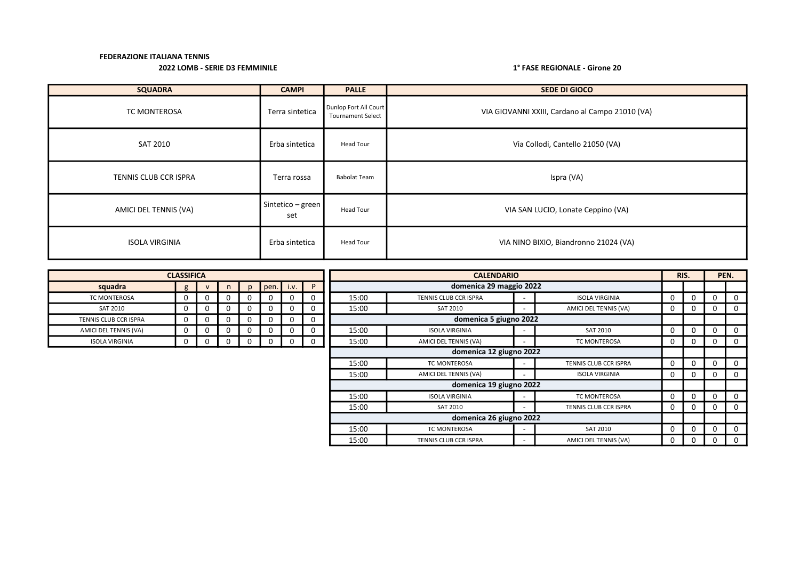| <b>SQUADRA</b>        | <b>CAMPI</b>             | <b>PALLE</b>                                      | SEDE DI GIOCO                                   |
|-----------------------|--------------------------|---------------------------------------------------|-------------------------------------------------|
| TC MONTEROSA          | Terra sintetica          | Dunlop Fort All Court<br><b>Tournament Select</b> | VIA GIOVANNI XXIII, Cardano al Campo 21010 (VA) |
| SAT 2010              | Erba sintetica           | Head Tour                                         | Via Collodi, Cantello 21050 (VA)                |
| TENNIS CLUB CCR ISPRA | Terra rossa              | <b>Babolat Team</b>                               | Ispra (VA)                                      |
| AMICI DEL TENNIS (VA) | Sintetico – green<br>set | Head Tour                                         | VIA SAN LUCIO, Lonate Ceppino (VA)              |
| <b>ISOLA VIRGINIA</b> | Erba sintetica           | Head Tour                                         | VIA NINO BIXIO, Biandronno 21024 (VA)           |

|                              | <b>CLASSIFICA</b> |              |   |   |           |   |              |       | <b>CALENDARIO</b>       |                       |   | RIS.     | PEN. |             |
|------------------------------|-------------------|--------------|---|---|-----------|---|--------------|-------|-------------------------|-----------------------|---|----------|------|-------------|
| squadra                      | g                 | $\mathsf{V}$ | n |   | pen. i.v. |   | P            |       | domenica 29 maggio 2022 |                       |   |          |      |             |
| TC MONTEROSA                 | 0                 | 0            | 0 | U | 0         | 0 | 0            | 15:00 | TENNIS CLUB CCR ISPRA   | <b>ISOLA VIRGINIA</b> | 0 | $\Omega$ | 0    | $\Omega$    |
| <b>SAT 2010</b>              | 0                 | 0            | 0 | 0 | 0         | 0 |              | 15:00 | <b>SAT 2010</b>         | AMICI DEL TENNIS (VA) | 0 |          | 0    | 0           |
| <b>FENNIS CLUB CCR ISPRA</b> | 0                 | 0            | 0 |   | 0         | 0 | 0            |       | domenica 5 giugno 2022  |                       |   |          |      |             |
| AMICI DEL TENNIS (VA)        | 0                 | 0            | 0 | Ü | 0         | 0 | 0            | 15:00 | <b>ISOLA VIRGINIA</b>   | <b>SAT 2010</b>       | 0 | $\Omega$ | 0    | $\mathbf 0$ |
| <b>ISOLA VIRGINIA</b>        | 0                 | 0            | 0 | 0 | 0         | 0 | $\mathbf{0}$ | 15:00 | AMICI DEL TENNIS (VA)   | TC MONTEROSA          | 0 | O        | 0    | $\mathbf 0$ |
|                              |                   |              |   |   |           |   |              |       | domenica 12 giugno 2022 |                       |   |          |      |             |
|                              |                   |              |   |   |           |   |              | 15:00 | <b>TC MONTEROSA</b>     | TENNIS CLUB CCR ISPRA | 0 |          | 0    | 0           |
|                              |                   |              |   |   |           |   |              | 15:00 | AMICI DEL TENNIS (VA)   | <b>ISOLA VIRGINIA</b> | 0 | n        | 0    | $\Omega$    |
|                              |                   |              |   |   |           |   |              |       | domenica 19 giugno 2022 |                       |   |          |      |             |
|                              |                   |              |   |   |           |   |              | 15:00 | <b>ISOLA VIRGINIA</b>   | TC MONTEROSA          | 0 |          | 0    | $\mathbf 0$ |
|                              |                   |              |   |   |           |   |              | 15:00 | <b>SAT 2010</b>         | TENNIS CLUB CCR ISPRA | 0 | 0        | 0    | $\Omega$    |
|                              |                   |              |   |   |           |   |              |       | domenica 26 giugno 2022 |                       |   |          |      |             |
|                              |                   |              |   |   |           |   |              | 15:00 | TC MONTEROSA            | <b>SAT 2010</b>       | 0 |          | 0    | $\Omega$    |
|                              |                   |              |   |   |           |   |              | 15:00 | TENNIS CLUB CCR ISPRA   | AMICI DEL TENNIS (VA) | 0 |          |      | $\Omega$    |

| <b>CLASSIFICA</b>            |    |   |   |   |      |      |   |  |  |  |  |  |
|------------------------------|----|---|---|---|------|------|---|--|--|--|--|--|
| squadra                      | g  | v | n | p | pen. | i.v. | P |  |  |  |  |  |
| <b>TC MONTEROSA</b>          | 0  | 0 | 0 | 0 | 0    | 0    | 0 |  |  |  |  |  |
| <b>SAT 2010</b>              | 0  | 0 | 0 | 0 | 0    | O    | O |  |  |  |  |  |
| <b>TENNIS CLUB CCR ISPRA</b> | 0  | 0 | 0 | 0 | 0    | 0    | 0 |  |  |  |  |  |
| AMICI DEL TENNIS (VA)        | 0  | 0 | 0 | 0 | 0    | 0    | 0 |  |  |  |  |  |
| <b>ISOLA VIRGINIA</b>        | м. |   |   |   |      |      |   |  |  |  |  |  |